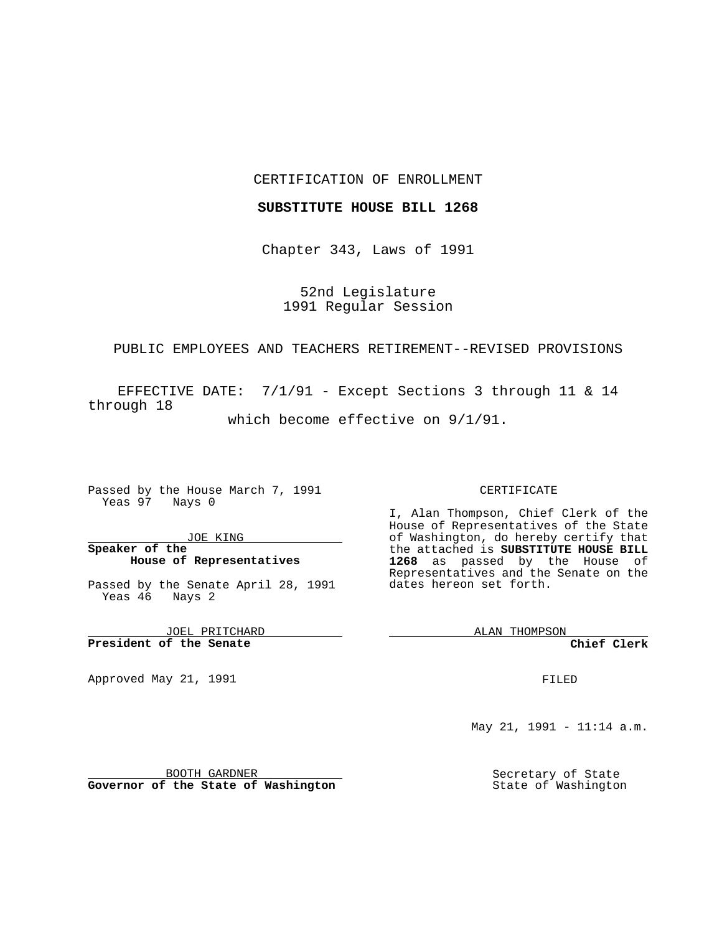### CERTIFICATION OF ENROLLMENT

## **SUBSTITUTE HOUSE BILL 1268**

Chapter 343, Laws of 1991

52nd Legislature 1991 Regular Session

# PUBLIC EMPLOYEES AND TEACHERS RETIREMENT--REVISED PROVISIONS

EFFECTIVE DATE: 7/1/91 - Except Sections 3 through 11 & 14 through 18 which become effective on 9/1/91.

Passed by the House March 7, 1991 Yeas 97 Nays 0

JOE KING

# **Speaker of the House of Representatives**

Passed by the Senate April 28, 1991 Yeas 46 Nays 2

JOEL PRITCHARD **President of the Senate**

Approved May 21, 1991

### CERTIFICATE

I, Alan Thompson, Chief Clerk of the House of Representatives of the State of Washington, do hereby certify that the attached is **SUBSTITUTE HOUSE BILL 1268** as passed by the House of Representatives and the Senate on the dates hereon set forth.

ALAN THOMPSON

**Chief Clerk**

FILED

May 21, 1991 - 11:14 a.m.

Secretary of State State of Washington

BOOTH GARDNER **Governor of the State of Washington**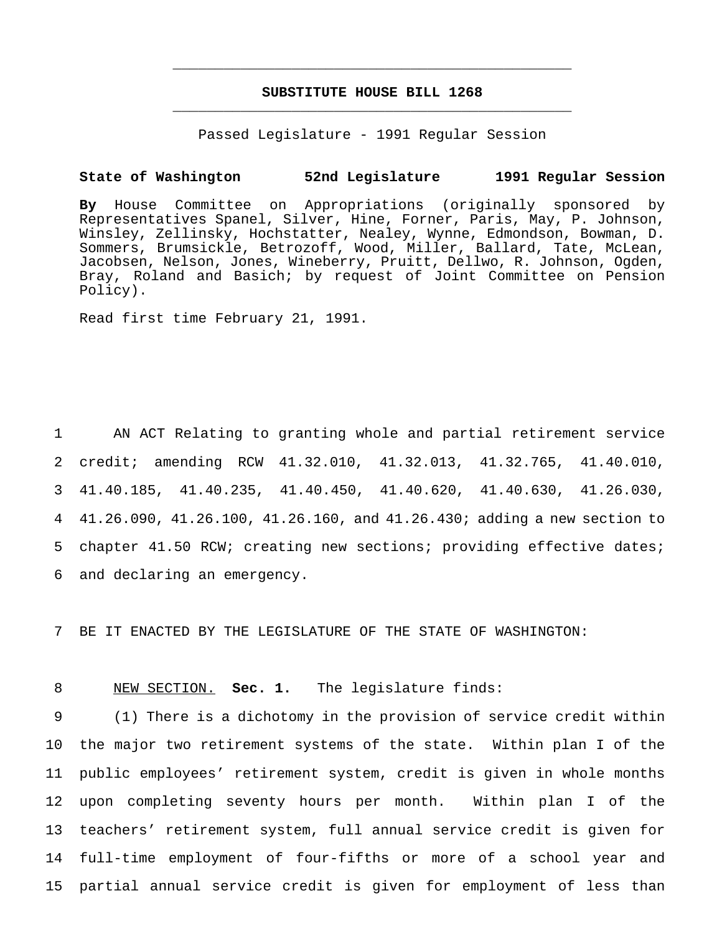# **SUBSTITUTE HOUSE BILL 1268** \_\_\_\_\_\_\_\_\_\_\_\_\_\_\_\_\_\_\_\_\_\_\_\_\_\_\_\_\_\_\_\_\_\_\_\_\_\_\_\_\_\_\_\_\_\_\_

\_\_\_\_\_\_\_\_\_\_\_\_\_\_\_\_\_\_\_\_\_\_\_\_\_\_\_\_\_\_\_\_\_\_\_\_\_\_\_\_\_\_\_\_\_\_\_

Passed Legislature - 1991 Regular Session

# **State of Washington 52nd Legislature 1991 Regular Session**

**By** House Committee on Appropriations (originally sponsored by Representatives Spanel, Silver, Hine, Forner, Paris, May, P. Johnson, Winsley, Zellinsky, Hochstatter, Nealey, Wynne, Edmondson, Bowman, D. Sommers, Brumsickle, Betrozoff, Wood, Miller, Ballard, Tate, McLean, Jacobsen, Nelson, Jones, Wineberry, Pruitt, Dellwo, R. Johnson, Ogden, Bray, Roland and Basich; by request of Joint Committee on Pension Policy).

Read first time February 21, 1991.

 AN ACT Relating to granting whole and partial retirement service credit; amending RCW 41.32.010, 41.32.013, 41.32.765, 41.40.010, 41.40.185, 41.40.235, 41.40.450, 41.40.620, 41.40.630, 41.26.030, 41.26.090, 41.26.100, 41.26.160, and 41.26.430; adding a new section to chapter 41.50 RCW; creating new sections; providing effective dates; and declaring an emergency.

7 BE IT ENACTED BY THE LEGISLATURE OF THE STATE OF WASHINGTON:

8 NEW SECTION. **Sec. 1.** The legislature finds:

 (1) There is a dichotomy in the provision of service credit within the major two retirement systems of the state. Within plan I of the public employees' retirement system, credit is given in whole months upon completing seventy hours per month. Within plan I of the teachers' retirement system, full annual service credit is given for full-time employment of four-fifths or more of a school year and partial annual service credit is given for employment of less than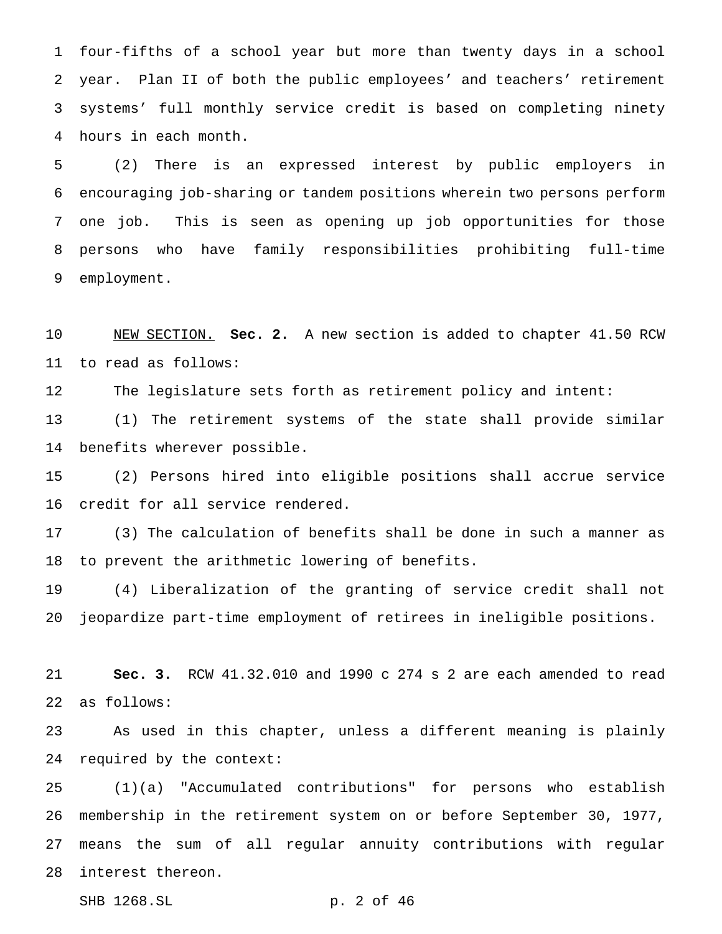four-fifths of a school year but more than twenty days in a school year. Plan II of both the public employees' and teachers' retirement systems' full monthly service credit is based on completing ninety hours in each month.

 (2) There is an expressed interest by public employers in encouraging job-sharing or tandem positions wherein two persons perform one job. This is seen as opening up job opportunities for those persons who have family responsibilities prohibiting full-time employment.

 NEW SECTION. **Sec. 2.** A new section is added to chapter 41.50 RCW to read as follows:

The legislature sets forth as retirement policy and intent:

 (1) The retirement systems of the state shall provide similar benefits wherever possible.

 (2) Persons hired into eligible positions shall accrue service credit for all service rendered.

 (3) The calculation of benefits shall be done in such a manner as to prevent the arithmetic lowering of benefits.

 (4) Liberalization of the granting of service credit shall not jeopardize part-time employment of retirees in ineligible positions.

 **Sec. 3.** RCW 41.32.010 and 1990 c 274 s 2 are each amended to read as follows:

 As used in this chapter, unless a different meaning is plainly required by the context:

 (1)(a) "Accumulated contributions" for persons who establish membership in the retirement system on or before September 30, 1977, means the sum of all regular annuity contributions with regular interest thereon.

SHB 1268.SL p. 2 of 46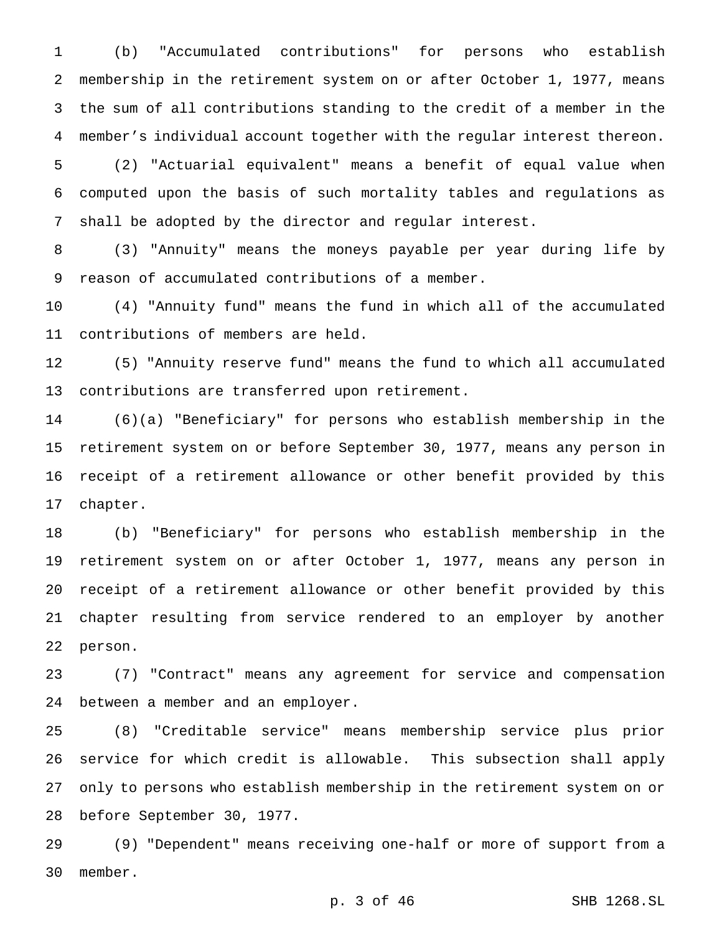(b) "Accumulated contributions" for persons who establish membership in the retirement system on or after October 1, 1977, means the sum of all contributions standing to the credit of a member in the member's individual account together with the regular interest thereon.

 (2) "Actuarial equivalent" means a benefit of equal value when computed upon the basis of such mortality tables and regulations as shall be adopted by the director and regular interest.

 (3) "Annuity" means the moneys payable per year during life by reason of accumulated contributions of a member.

 (4) "Annuity fund" means the fund in which all of the accumulated contributions of members are held.

 (5) "Annuity reserve fund" means the fund to which all accumulated contributions are transferred upon retirement.

 (6)(a) "Beneficiary" for persons who establish membership in the retirement system on or before September 30, 1977, means any person in receipt of a retirement allowance or other benefit provided by this chapter.

 (b) "Beneficiary" for persons who establish membership in the retirement system on or after October 1, 1977, means any person in receipt of a retirement allowance or other benefit provided by this chapter resulting from service rendered to an employer by another person.

 (7) "Contract" means any agreement for service and compensation between a member and an employer.

 (8) "Creditable service" means membership service plus prior service for which credit is allowable. This subsection shall apply only to persons who establish membership in the retirement system on or before September 30, 1977.

 (9) "Dependent" means receiving one-half or more of support from a member.

p. 3 of 46 SHB 1268.SL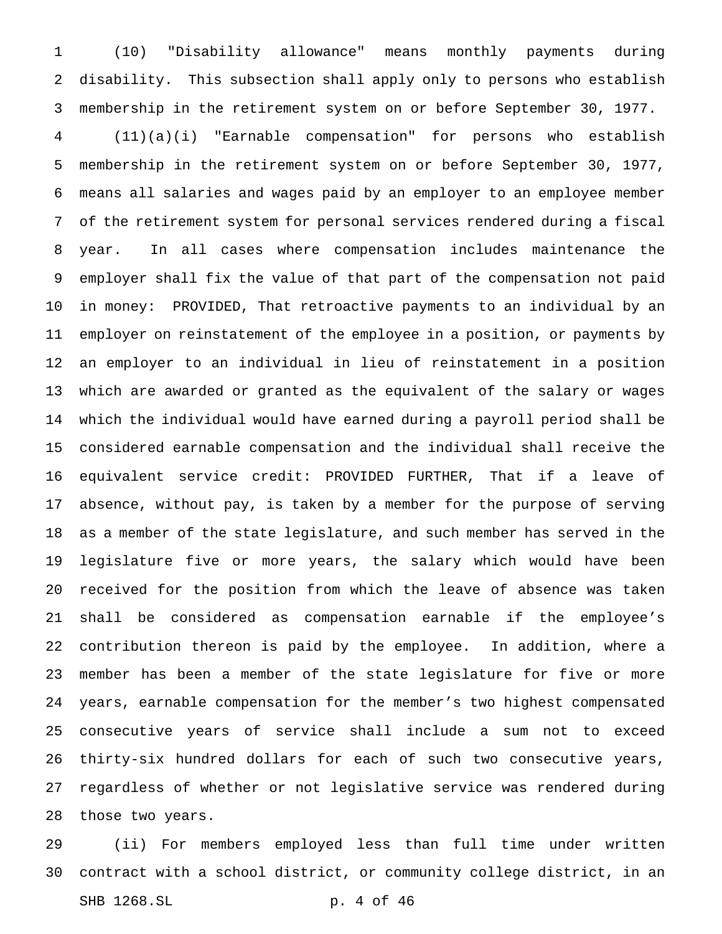(10) "Disability allowance" means monthly payments during disability. This subsection shall apply only to persons who establish membership in the retirement system on or before September 30, 1977.

 (11)(a)(i) "Earnable compensation" for persons who establish membership in the retirement system on or before September 30, 1977, means all salaries and wages paid by an employer to an employee member of the retirement system for personal services rendered during a fiscal year. In all cases where compensation includes maintenance the employer shall fix the value of that part of the compensation not paid in money: PROVIDED, That retroactive payments to an individual by an employer on reinstatement of the employee in a position, or payments by an employer to an individual in lieu of reinstatement in a position which are awarded or granted as the equivalent of the salary or wages which the individual would have earned during a payroll period shall be considered earnable compensation and the individual shall receive the equivalent service credit: PROVIDED FURTHER, That if a leave of absence, without pay, is taken by a member for the purpose of serving as a member of the state legislature, and such member has served in the legislature five or more years, the salary which would have been received for the position from which the leave of absence was taken shall be considered as compensation earnable if the employee's contribution thereon is paid by the employee. In addition, where a member has been a member of the state legislature for five or more years, earnable compensation for the member's two highest compensated consecutive years of service shall include a sum not to exceed thirty-six hundred dollars for each of such two consecutive years, regardless of whether or not legislative service was rendered during those two years.

 (ii) For members employed less than full time under written contract with a school district, or community college district, in an SHB 1268.SL p. 4 of 46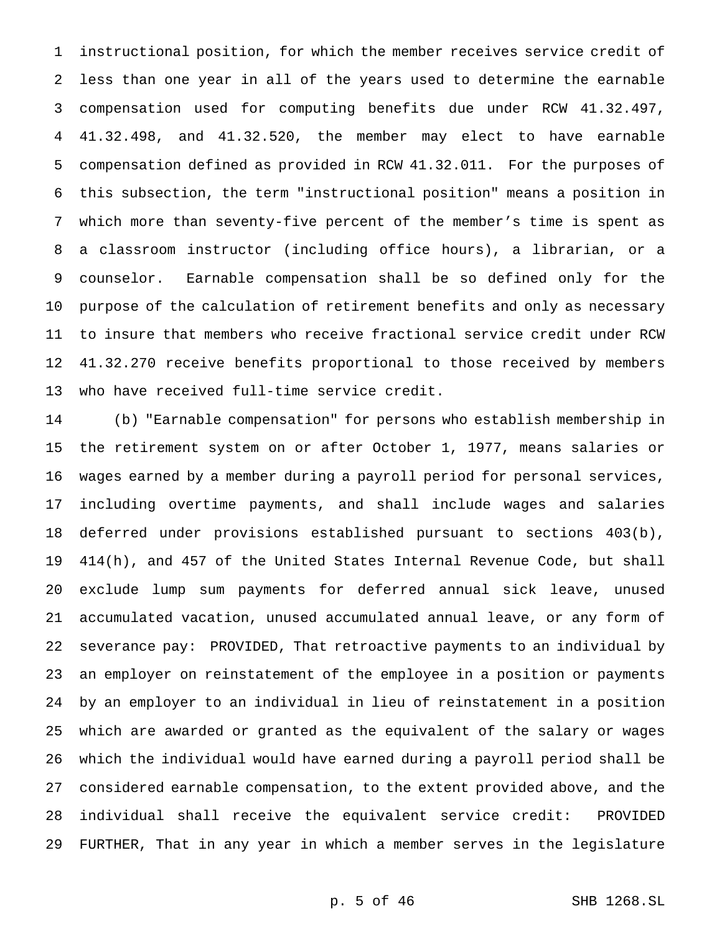instructional position, for which the member receives service credit of less than one year in all of the years used to determine the earnable compensation used for computing benefits due under RCW 41.32.497, 41.32.498, and 41.32.520, the member may elect to have earnable compensation defined as provided in RCW 41.32.011. For the purposes of this subsection, the term "instructional position" means a position in which more than seventy-five percent of the member's time is spent as a classroom instructor (including office hours), a librarian, or a counselor. Earnable compensation shall be so defined only for the purpose of the calculation of retirement benefits and only as necessary to insure that members who receive fractional service credit under RCW 41.32.270 receive benefits proportional to those received by members who have received full-time service credit.

 (b) "Earnable compensation" for persons who establish membership in the retirement system on or after October 1, 1977, means salaries or wages earned by a member during a payroll period for personal services, including overtime payments, and shall include wages and salaries deferred under provisions established pursuant to sections 403(b), 414(h), and 457 of the United States Internal Revenue Code, but shall exclude lump sum payments for deferred annual sick leave, unused accumulated vacation, unused accumulated annual leave, or any form of severance pay: PROVIDED, That retroactive payments to an individual by an employer on reinstatement of the employee in a position or payments by an employer to an individual in lieu of reinstatement in a position which are awarded or granted as the equivalent of the salary or wages which the individual would have earned during a payroll period shall be considered earnable compensation, to the extent provided above, and the individual shall receive the equivalent service credit: PROVIDED FURTHER, That in any year in which a member serves in the legislature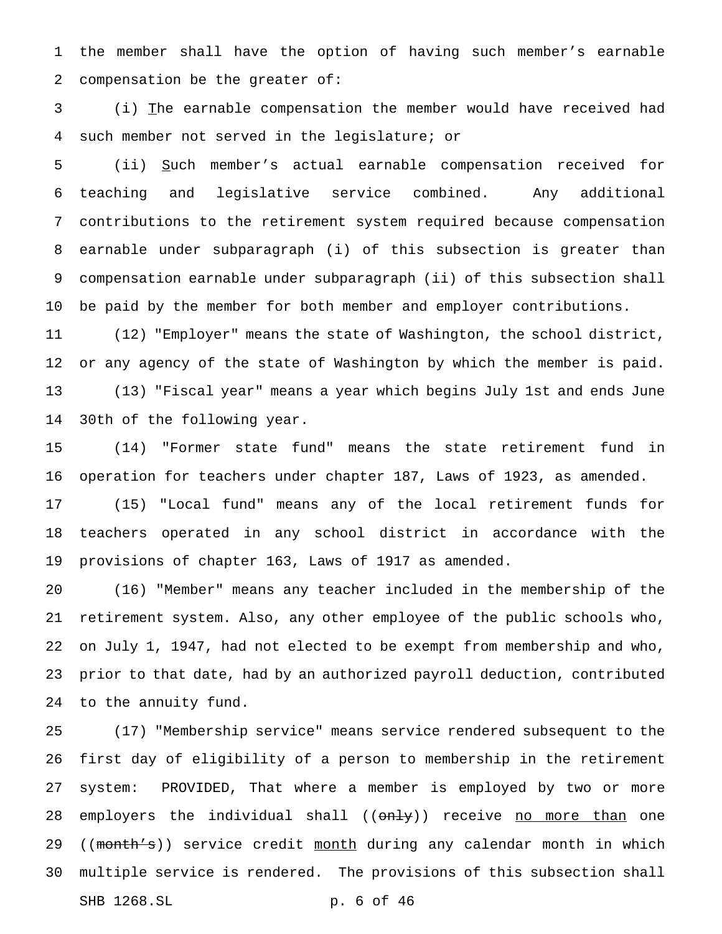the member shall have the option of having such member's earnable compensation be the greater of:

 (i) The earnable compensation the member would have received had such member not served in the legislature; or

 (ii) Such member's actual earnable compensation received for teaching and legislative service combined. Any additional contributions to the retirement system required because compensation earnable under subparagraph (i) of this subsection is greater than compensation earnable under subparagraph (ii) of this subsection shall be paid by the member for both member and employer contributions.

 (12) "Employer" means the state of Washington, the school district, or any agency of the state of Washington by which the member is paid. (13) "Fiscal year" means a year which begins July 1st and ends June 30th of the following year.

 (14) "Former state fund" means the state retirement fund in operation for teachers under chapter 187, Laws of 1923, as amended. (15) "Local fund" means any of the local retirement funds for teachers operated in any school district in accordance with the

provisions of chapter 163, Laws of 1917 as amended.

 (16) "Member" means any teacher included in the membership of the retirement system. Also, any other employee of the public schools who, on July 1, 1947, had not elected to be exempt from membership and who, prior to that date, had by an authorized payroll deduction, contributed to the annuity fund.

 (17) "Membership service" means service rendered subsequent to the first day of eligibility of a person to membership in the retirement system: PROVIDED, That where a member is employed by two or more 28 employers the individual shall ((only)) receive no more than one 29 ((month's)) service credit month during any calendar month in which multiple service is rendered. The provisions of this subsection shall SHB 1268.SL p. 6 of 46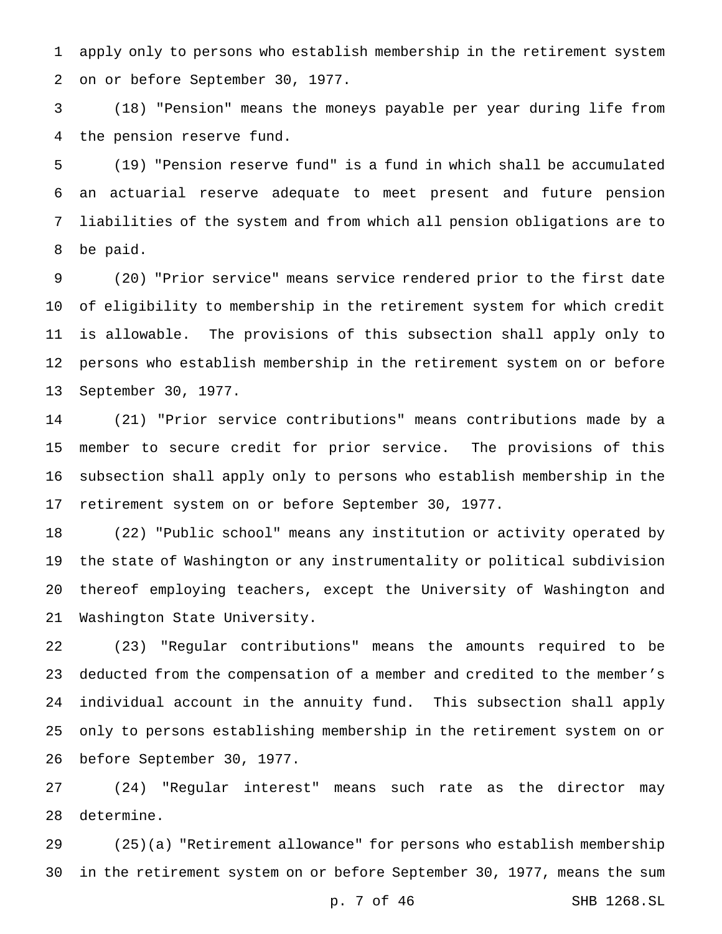apply only to persons who establish membership in the retirement system on or before September 30, 1977.

 (18) "Pension" means the moneys payable per year during life from the pension reserve fund.

 (19) "Pension reserve fund" is a fund in which shall be accumulated an actuarial reserve adequate to meet present and future pension liabilities of the system and from which all pension obligations are to be paid.

 (20) "Prior service" means service rendered prior to the first date of eligibility to membership in the retirement system for which credit is allowable. The provisions of this subsection shall apply only to persons who establish membership in the retirement system on or before September 30, 1977.

 (21) "Prior service contributions" means contributions made by a member to secure credit for prior service. The provisions of this subsection shall apply only to persons who establish membership in the retirement system on or before September 30, 1977.

 (22) "Public school" means any institution or activity operated by the state of Washington or any instrumentality or political subdivision thereof employing teachers, except the University of Washington and Washington State University.

 (23) "Regular contributions" means the amounts required to be deducted from the compensation of a member and credited to the member's individual account in the annuity fund. This subsection shall apply only to persons establishing membership in the retirement system on or before September 30, 1977.

 (24) "Regular interest" means such rate as the director may determine.

 (25)(a) "Retirement allowance" for persons who establish membership in the retirement system on or before September 30, 1977, means the sum

p. 7 of 46 SHB 1268.SL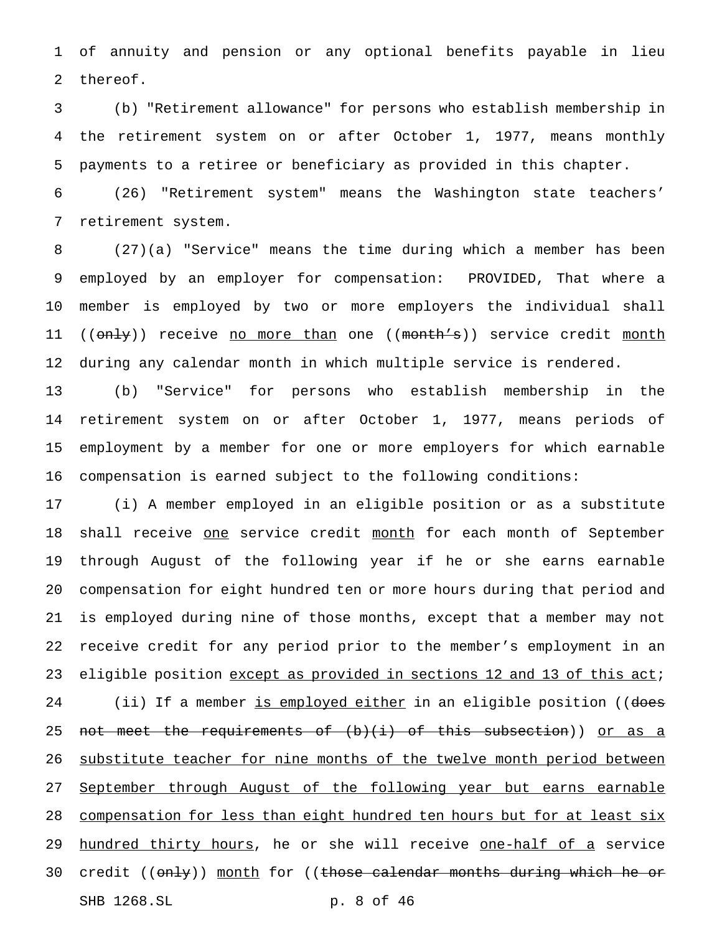of annuity and pension or any optional benefits payable in lieu thereof.

 (b) "Retirement allowance" for persons who establish membership in the retirement system on or after October 1, 1977, means monthly payments to a retiree or beneficiary as provided in this chapter.

 (26) "Retirement system" means the Washington state teachers' retirement system.

 (27)(a) "Service" means the time during which a member has been employed by an employer for compensation: PROVIDED, That where a member is employed by two or more employers the individual shall 11 (( $\text{only}$ ) receive <u>no more than</u> one ((month's)) service credit month during any calendar month in which multiple service is rendered.

 (b) "Service" for persons who establish membership in the retirement system on or after October 1, 1977, means periods of employment by a member for one or more employers for which earnable compensation is earned subject to the following conditions:

 (i) A member employed in an eligible position or as a substitute 18 shall receive one service credit month for each month of September through August of the following year if he or she earns earnable compensation for eight hundred ten or more hours during that period and is employed during nine of those months, except that a member may not receive credit for any period prior to the member's employment in an 23 eligible position except as provided in sections 12 and 13 of this act; 24 (ii) If a member is employed either in an eligible position ((does 25 not meet the requirements of  $(b)(i)$  of this subsection)) or as a 26 substitute teacher for nine months of the twelve month period between 27 September through August of the following year but earns earnable 28 compensation for less than eight hundred ten hours but for at least six 29 hundred thirty hours, he or she will receive one-half of a service 30 credit ((only)) month for ((those calendar months during which he or SHB 1268.SL p. 8 of 46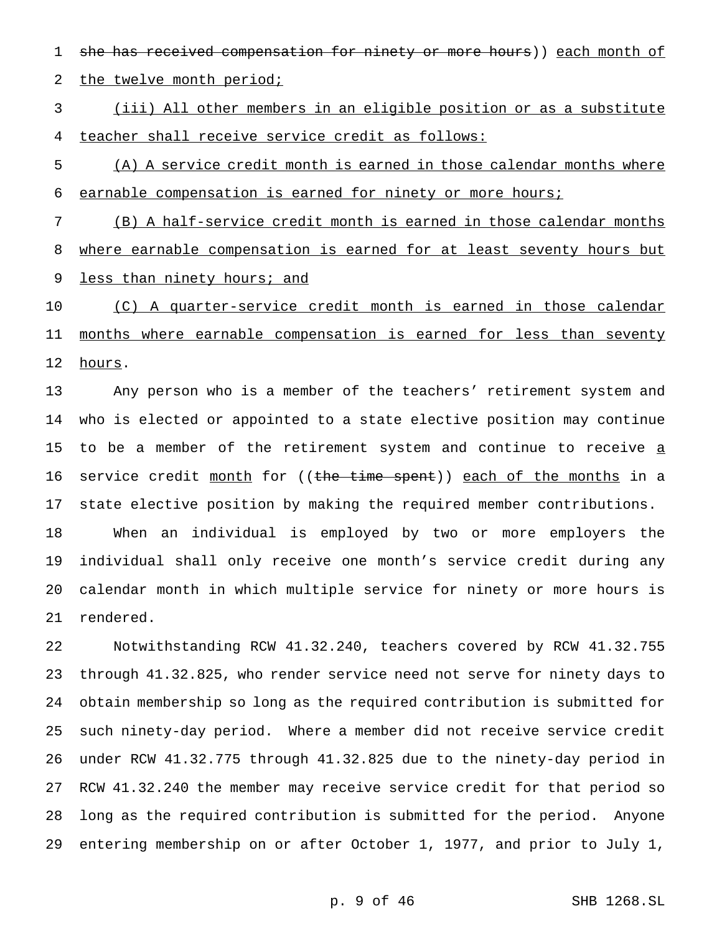1 she has received compensation for ninety or more hours)) each month of

2 the twelve month period;

 (iii) All other members in an eligible position or as a substitute teacher shall receive service credit as follows:

 (A) A service credit month is earned in those calendar months where earnable compensation is earned for ninety or more hours;

 (B) A half-service credit month is earned in those calendar months where earnable compensation is earned for at least seventy hours but 9 less than ninety hours; and

 (C) A quarter-service credit month is earned in those calendar months where earnable compensation is earned for less than seventy 12 hours.

 Any person who is a member of the teachers' retirement system and who is elected or appointed to a state elective position may continue 15 to be a member of the retirement system and continue to receive a 16 service credit month for ((the time spent)) each of the months in a state elective position by making the required member contributions.

 When an individual is employed by two or more employers the individual shall only receive one month's service credit during any calendar month in which multiple service for ninety or more hours is rendered.

 Notwithstanding RCW 41.32.240, teachers covered by RCW 41.32.755 through 41.32.825, who render service need not serve for ninety days to obtain membership so long as the required contribution is submitted for such ninety-day period. Where a member did not receive service credit under RCW 41.32.775 through 41.32.825 due to the ninety-day period in RCW 41.32.240 the member may receive service credit for that period so long as the required contribution is submitted for the period. Anyone entering membership on or after October 1, 1977, and prior to July 1,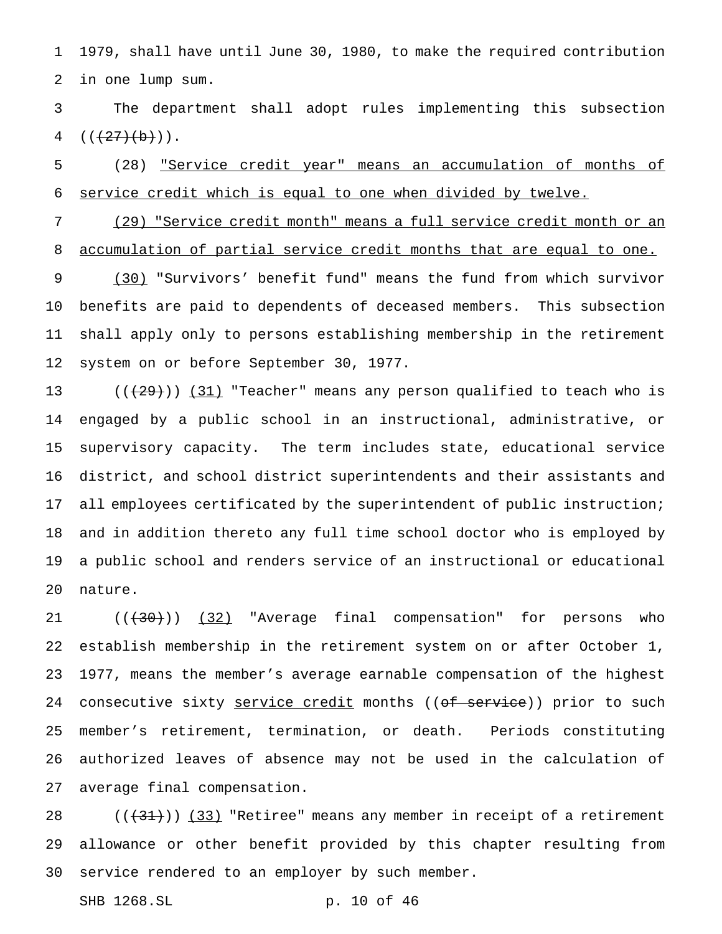1979, shall have until June 30, 1980, to make the required contribution in one lump sum.

 The department shall adopt rules implementing this subsection  $4 ((+27)+(b))$ .

 (28) "Service credit year" means an accumulation of months of service credit which is equal to one when divided by twelve.

 (29) "Service credit month" means a full service credit month or an accumulation of partial service credit months that are equal to one.

 (30) "Survivors' benefit fund" means the fund from which survivor benefits are paid to dependents of deceased members. This subsection shall apply only to persons establishing membership in the retirement system on or before September 30, 1977.

13 ( $(\frac{29}{12})$   $(31)$  "Teacher" means any person qualified to teach who is engaged by a public school in an instructional, administrative, or supervisory capacity. The term includes state, educational service district, and school district superintendents and their assistants and all employees certificated by the superintendent of public instruction; and in addition thereto any full time school doctor who is employed by a public school and renders service of an instructional or educational nature.

21 (( $(30)$ )) (32) "Average final compensation" for persons who establish membership in the retirement system on or after October 1, 1977, means the member's average earnable compensation of the highest 24 consecutive sixty service credit months ((of service)) prior to such member's retirement, termination, or death. Periods constituting authorized leaves of absence may not be used in the calculation of average final compensation.

 $((+31))$   $(33)$  "Retiree" means any member in receipt of a retirement allowance or other benefit provided by this chapter resulting from service rendered to an employer by such member.

SHB 1268.SL p. 10 of 46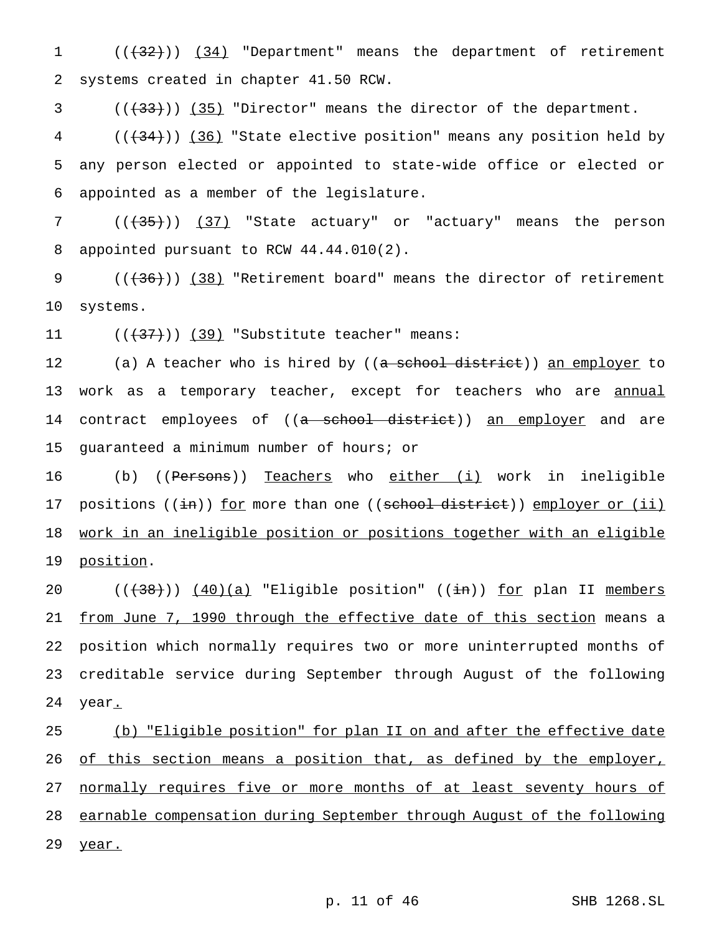1 (( $\left(\frac{1}{32}\right)$ ) (34) "Department" means the department of retirement 2 systems created in chapter 41.50 RCW.

 $3$  ( $(\overline{+33})$ )  $\overline{35}$  "Director" means the director of the department.

 $4$  ( $(\frac{+34}{-})$ ) (36) "State elective position" means any position held by 5 any person elected or appointed to state-wide office or elected or 6 appointed as a member of the legislature.

7 (( $(35)$ )) (37) "State actuary" or "actuary" means the person 8 appointed pursuant to RCW 44.44.010(2).

9  $((+36))$   $(38)$  "Retirement board" means the director of retirement 10 systems.

11  $((+37))$   $(39)$  "Substitute teacher" means:

12 (a) A teacher who is hired by ((a school district)) an employer to 13 work as a temporary teacher, except for teachers who are annual 14 contract employees of ((<del>a school district</del>)) <u>an employer</u> and are 15 guaranteed a minimum number of hours; or

16 (b) ((Persons)) Teachers who either (i) work in ineligible 17 positions ((in)) for more than one ((school district)) employer or (ii) 18 work in an ineligible position or positions together with an eligible 19 position.

 $((+38))$   $(40)(a)$  "Eligible position"  $((\text{in}))$  for plan II members from June 7, 1990 through the effective date of this section means a position which normally requires two or more uninterrupted months of creditable service during September through August of the following 24 year.

25 (b) "Eligible position" for plan II on and after the effective date 26 of this section means a position that, as defined by the employer, 27 normally requires five or more months of at least seventy hours of 28 earnable compensation during September through August of the following 29 year.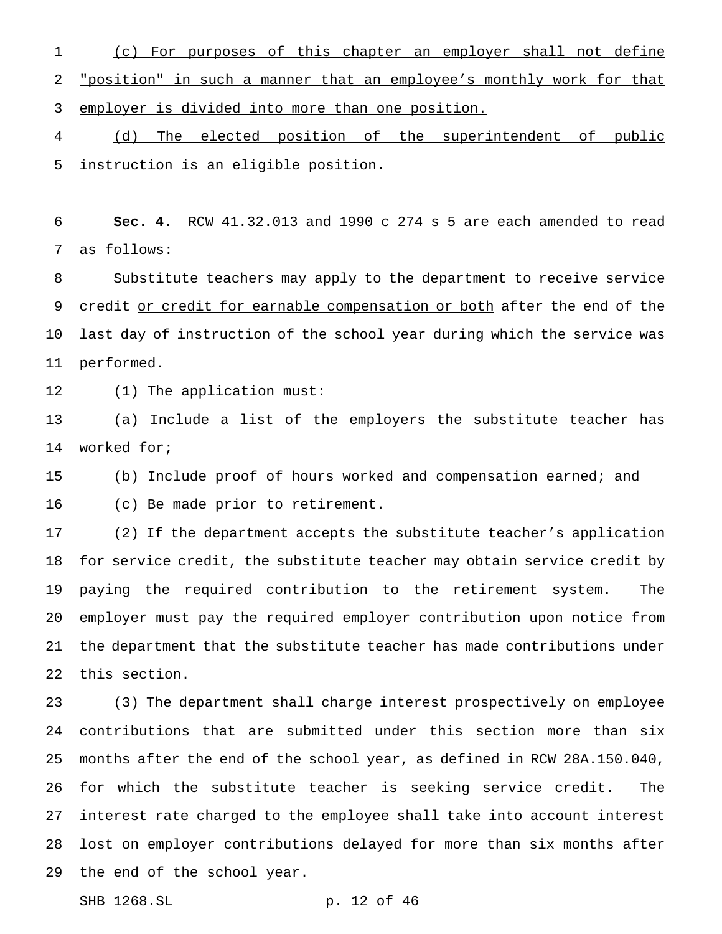(c) For purposes of this chapter an employer shall not define 2 "position" in such a manner that an employee's monthly work for that 3 employer is divided into more than one position.

 (d) The elected position of the superintendent of public instruction is an eligible position.

 **Sec. 4.** RCW 41.32.013 and 1990 c 274 s 5 are each amended to read as follows:

 Substitute teachers may apply to the department to receive service 9 credit or credit for earnable compensation or both after the end of the last day of instruction of the school year during which the service was performed.

(1) The application must:

 (a) Include a list of the employers the substitute teacher has worked for;

(b) Include proof of hours worked and compensation earned; and

(c) Be made prior to retirement.

 (2) If the department accepts the substitute teacher's application for service credit, the substitute teacher may obtain service credit by paying the required contribution to the retirement system. The employer must pay the required employer contribution upon notice from the department that the substitute teacher has made contributions under this section.

 (3) The department shall charge interest prospectively on employee contributions that are submitted under this section more than six months after the end of the school year, as defined in RCW 28A.150.040, for which the substitute teacher is seeking service credit. The interest rate charged to the employee shall take into account interest lost on employer contributions delayed for more than six months after the end of the school year.

SHB 1268.SL p. 12 of 46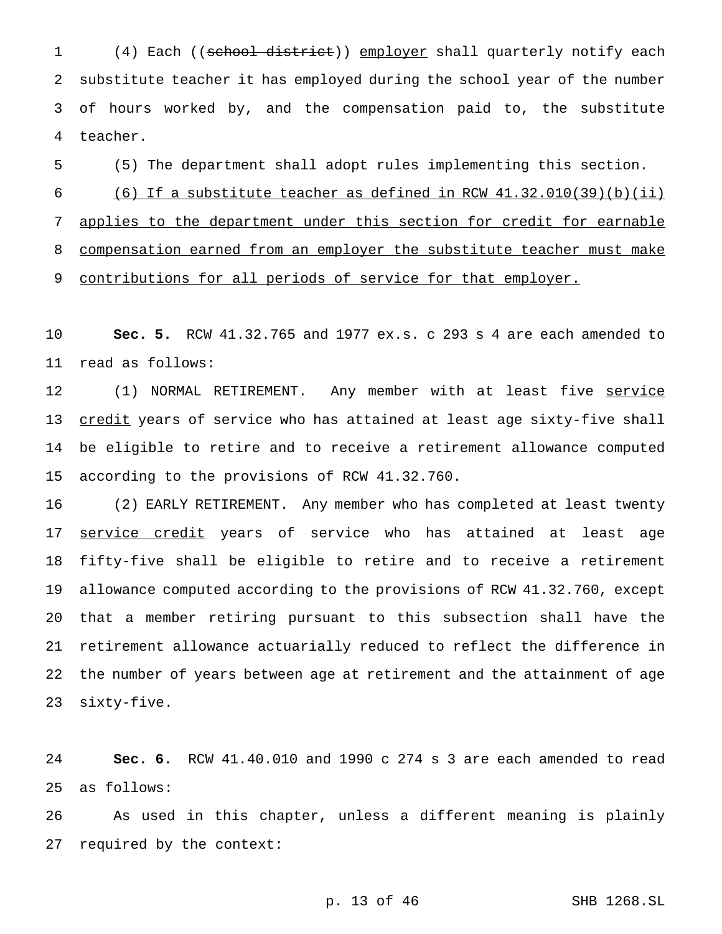1 (4) Each ((school district)) employer shall quarterly notify each substitute teacher it has employed during the school year of the number of hours worked by, and the compensation paid to, the substitute teacher.

(5) The department shall adopt rules implementing this section.

 (6) If a substitute teacher as defined in RCW 41.32.010(39)(b)(ii) applies to the department under this section for credit for earnable 8 compensation earned from an employer the substitute teacher must make 9 contributions for all periods of service for that employer.

 **Sec. 5.** RCW 41.32.765 and 1977 ex.s. c 293 s 4 are each amended to read as follows:

12 (1) NORMAL RETIREMENT. Any member with at least five service 13 credit years of service who has attained at least age sixty-five shall be eligible to retire and to receive a retirement allowance computed according to the provisions of RCW 41.32.760.

 (2) EARLY RETIREMENT. Any member who has completed at least twenty 17 service credit years of service who has attained at least age fifty-five shall be eligible to retire and to receive a retirement allowance computed according to the provisions of RCW 41.32.760, except that a member retiring pursuant to this subsection shall have the retirement allowance actuarially reduced to reflect the difference in the number of years between age at retirement and the attainment of age sixty-five.

 **Sec. 6.** RCW 41.40.010 and 1990 c 274 s 3 are each amended to read as follows:

 As used in this chapter, unless a different meaning is plainly required by the context:

p. 13 of 46 SHB 1268.SL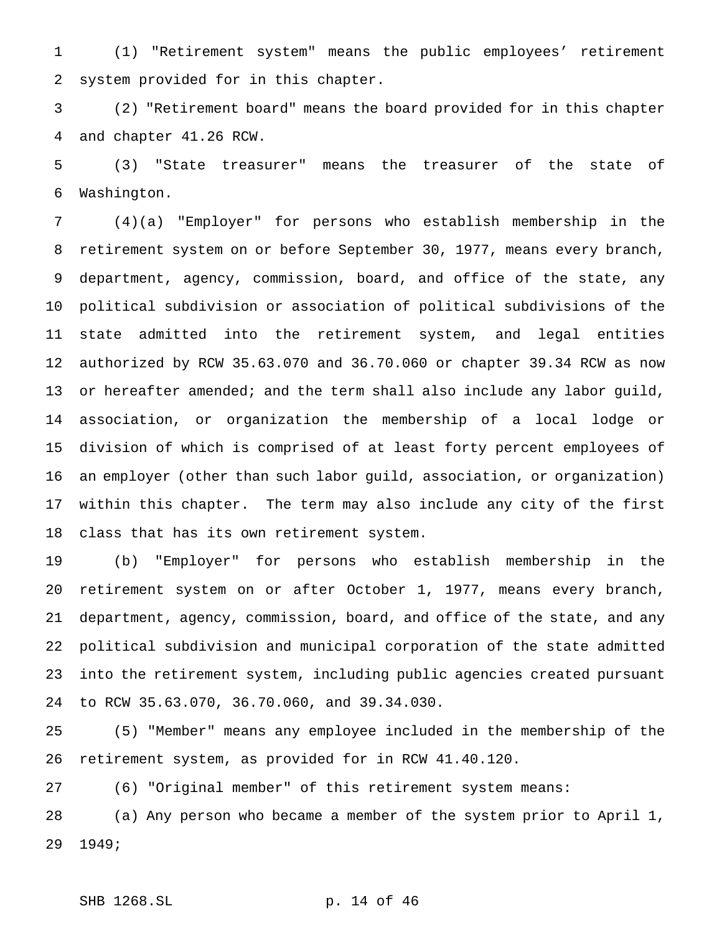(1) "Retirement system" means the public employees' retirement system provided for in this chapter.

 (2) "Retirement board" means the board provided for in this chapter and chapter 41.26 RCW.

 (3) "State treasurer" means the treasurer of the state of Washington.

 (4)(a) "Employer" for persons who establish membership in the retirement system on or before September 30, 1977, means every branch, department, agency, commission, board, and office of the state, any political subdivision or association of political subdivisions of the state admitted into the retirement system, and legal entities authorized by RCW 35.63.070 and 36.70.060 or chapter 39.34 RCW as now or hereafter amended; and the term shall also include any labor guild, association, or organization the membership of a local lodge or division of which is comprised of at least forty percent employees of an employer (other than such labor guild, association, or organization) within this chapter. The term may also include any city of the first class that has its own retirement system.

 (b) "Employer" for persons who establish membership in the retirement system on or after October 1, 1977, means every branch, department, agency, commission, board, and office of the state, and any political subdivision and municipal corporation of the state admitted into the retirement system, including public agencies created pursuant to RCW 35.63.070, 36.70.060, and 39.34.030.

 (5) "Member" means any employee included in the membership of the retirement system, as provided for in RCW 41.40.120.

(6) "Original member" of this retirement system means:

 (a) Any person who became a member of the system prior to April 1, 1949;

SHB 1268.SL p. 14 of 46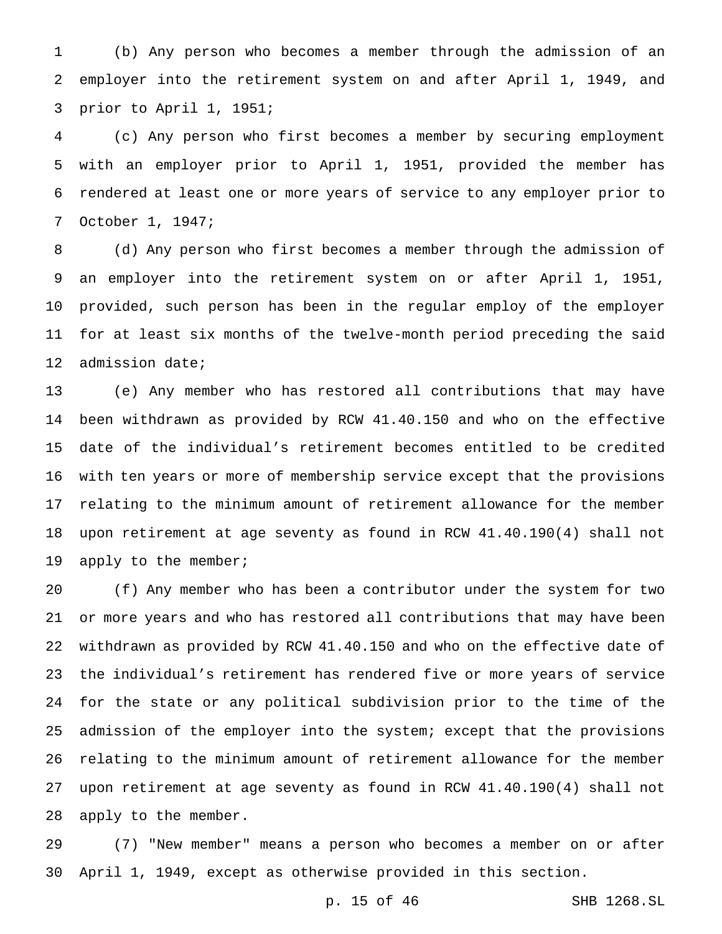(b) Any person who becomes a member through the admission of an employer into the retirement system on and after April 1, 1949, and prior to April 1, 1951;

 (c) Any person who first becomes a member by securing employment with an employer prior to April 1, 1951, provided the member has rendered at least one or more years of service to any employer prior to October 1, 1947;

 (d) Any person who first becomes a member through the admission of an employer into the retirement system on or after April 1, 1951, provided, such person has been in the regular employ of the employer for at least six months of the twelve-month period preceding the said admission date;

 (e) Any member who has restored all contributions that may have been withdrawn as provided by RCW 41.40.150 and who on the effective date of the individual's retirement becomes entitled to be credited with ten years or more of membership service except that the provisions relating to the minimum amount of retirement allowance for the member upon retirement at age seventy as found in RCW 41.40.190(4) shall not 19 apply to the member;

 (f) Any member who has been a contributor under the system for two or more years and who has restored all contributions that may have been withdrawn as provided by RCW 41.40.150 and who on the effective date of the individual's retirement has rendered five or more years of service for the state or any political subdivision prior to the time of the admission of the employer into the system; except that the provisions relating to the minimum amount of retirement allowance for the member upon retirement at age seventy as found in RCW 41.40.190(4) shall not apply to the member.

 (7) "New member" means a person who becomes a member on or after April 1, 1949, except as otherwise provided in this section.

p. 15 of 46 SHB 1268.SL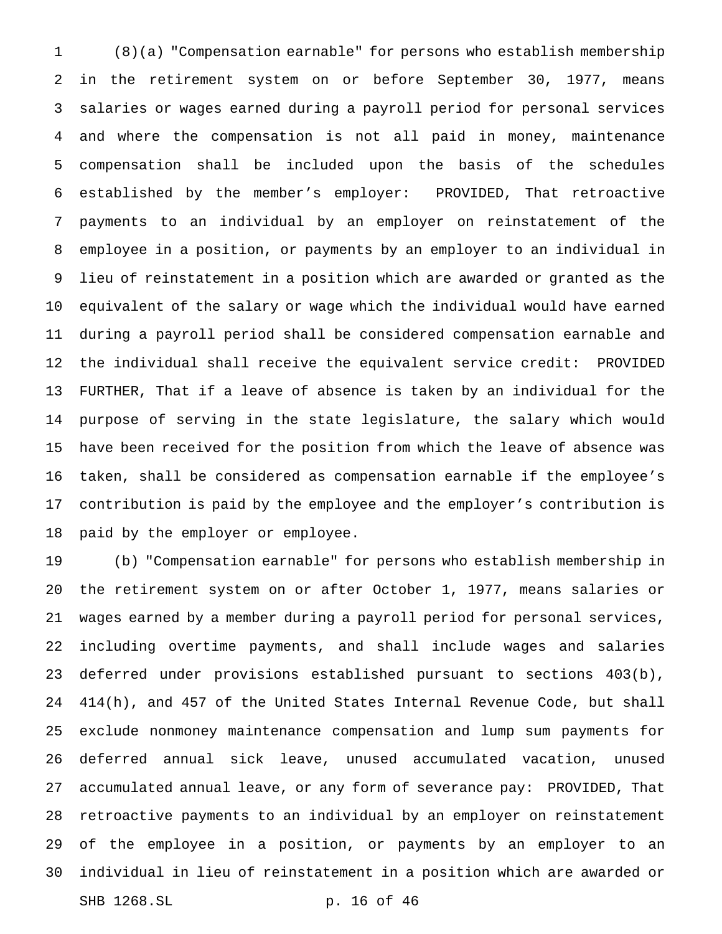(8)(a) "Compensation earnable" for persons who establish membership in the retirement system on or before September 30, 1977, means salaries or wages earned during a payroll period for personal services and where the compensation is not all paid in money, maintenance compensation shall be included upon the basis of the schedules established by the member's employer: PROVIDED, That retroactive payments to an individual by an employer on reinstatement of the employee in a position, or payments by an employer to an individual in lieu of reinstatement in a position which are awarded or granted as the equivalent of the salary or wage which the individual would have earned during a payroll period shall be considered compensation earnable and the individual shall receive the equivalent service credit: PROVIDED FURTHER, That if a leave of absence is taken by an individual for the purpose of serving in the state legislature, the salary which would have been received for the position from which the leave of absence was taken, shall be considered as compensation earnable if the employee's contribution is paid by the employee and the employer's contribution is paid by the employer or employee.

 (b) "Compensation earnable" for persons who establish membership in the retirement system on or after October 1, 1977, means salaries or wages earned by a member during a payroll period for personal services, including overtime payments, and shall include wages and salaries deferred under provisions established pursuant to sections 403(b), 414(h), and 457 of the United States Internal Revenue Code, but shall exclude nonmoney maintenance compensation and lump sum payments for deferred annual sick leave, unused accumulated vacation, unused accumulated annual leave, or any form of severance pay: PROVIDED, That retroactive payments to an individual by an employer on reinstatement of the employee in a position, or payments by an employer to an individual in lieu of reinstatement in a position which are awarded or SHB 1268.SL p. 16 of 46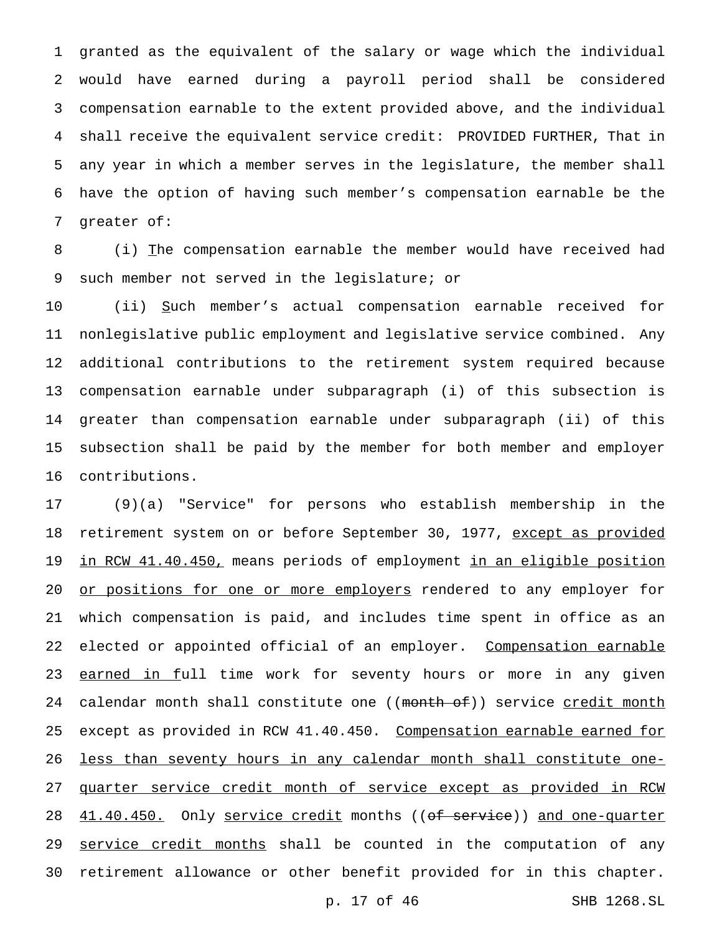granted as the equivalent of the salary or wage which the individual would have earned during a payroll period shall be considered compensation earnable to the extent provided above, and the individual shall receive the equivalent service credit: PROVIDED FURTHER, That in any year in which a member serves in the legislature, the member shall have the option of having such member's compensation earnable be the greater of:

 (i) The compensation earnable the member would have received had such member not served in the legislature; or

 (ii) Such member's actual compensation earnable received for nonlegislative public employment and legislative service combined. Any additional contributions to the retirement system required because compensation earnable under subparagraph (i) of this subsection is greater than compensation earnable under subparagraph (ii) of this subsection shall be paid by the member for both member and employer contributions.

 (9)(a) "Service" for persons who establish membership in the 18 retirement system on or before September 30, 1977, except as provided 19 in RCW 41.40.450, means periods of employment in an eligible position 20 or positions for one or more employers rendered to any employer for which compensation is paid, and includes time spent in office as an 22 elected or appointed official of an employer. Compensation earnable 23 earned in full time work for seventy hours or more in any given 24 calendar month shall constitute one ((month of)) service credit month 25 except as provided in RCW 41.40.450. Compensation earnable earned for less than seventy hours in any calendar month shall constitute one- quarter service credit month of service except as provided in RCW 28 41.40.450. Only service credit months ((of service)) and one-quarter 29 service credit months shall be counted in the computation of any retirement allowance or other benefit provided for in this chapter.

p. 17 of 46 SHB 1268.SL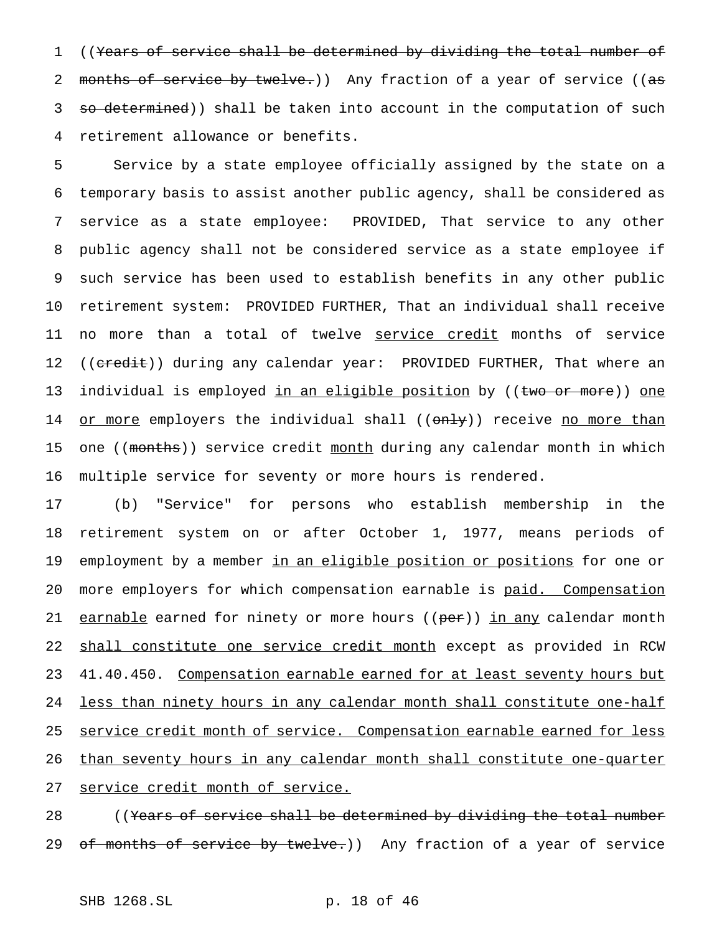1 ((Years of service shall be determined by dividing the total number of 2 months of service by twelve.)) Any fraction of a year of service ((as 3 so determined)) shall be taken into account in the computation of such 4 retirement allowance or benefits.

5 Service by a state employee officially assigned by the state on a 6 temporary basis to assist another public agency, shall be considered as 7 service as a state employee: PROVIDED, That service to any other 8 public agency shall not be considered service as a state employee if 9 such service has been used to establish benefits in any other public 10 retirement system: PROVIDED FURTHER, That an individual shall receive 11 no more than a total of twelve service credit months of service 12 ((credit)) during any calendar year: PROVIDED FURTHER, That where an 13 individual is employed <u>in an eligible position</u> by ((<del>two or more</del>)) <u>one</u> 14 <u>or more</u> employers the individual shall ((only)) receive no more than 15 one ((months)) service credit month during any calendar month in which 16 multiple service for seventy or more hours is rendered.

17 (b) "Service" for persons who establish membership in the 18 retirement system on or after October 1, 1977, means periods of 19 employment by a member in an eligible position or positions for one or 20 more employers for which compensation earnable is paid. Compensation 21 earnable earned for ninety or more hours ((per)) in any calendar month 22 shall constitute one service credit month except as provided in RCW 23 41.40.450. Compensation earnable earned for at least seventy hours but 24 less than ninety hours in any calendar month shall constitute one-half 25 service credit month of service. Compensation earnable earned for less 26 than seventy hours in any calendar month shall constitute one-quarter 27 service credit month of service.

28 ((Years of service shall be determined by dividing the total number 29 of months of service by twelve.)) Any fraction of a year of service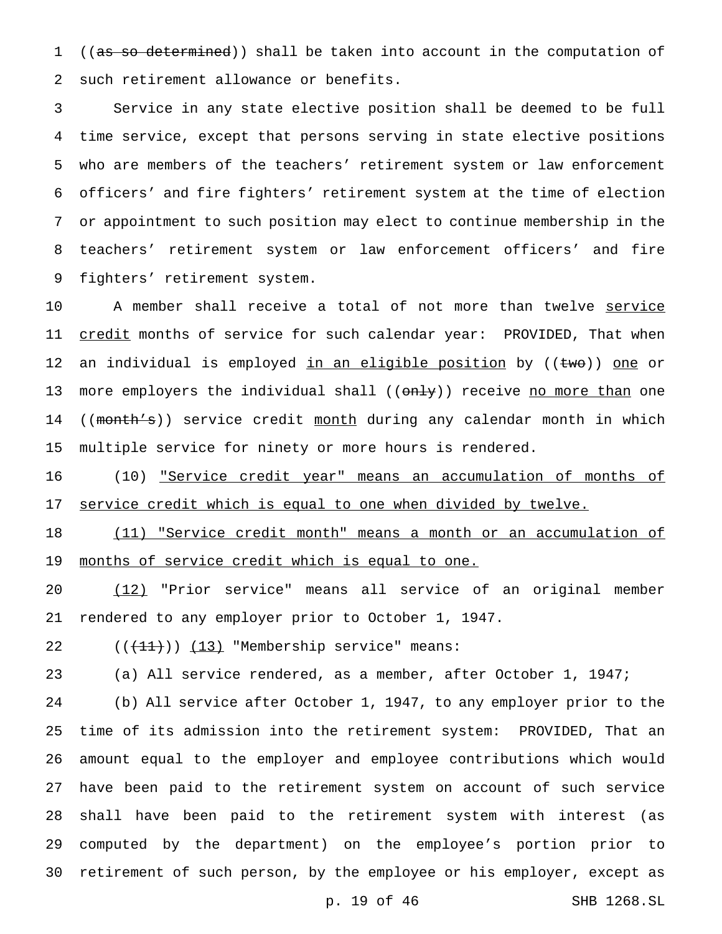((as so determined)) shall be taken into account in the computation of such retirement allowance or benefits.

 Service in any state elective position shall be deemed to be full time service, except that persons serving in state elective positions who are members of the teachers' retirement system or law enforcement officers' and fire fighters' retirement system at the time of election or appointment to such position may elect to continue membership in the teachers' retirement system or law enforcement officers' and fire fighters' retirement system.

10 A member shall receive a total of not more than twelve service 11 credit months of service for such calendar year: PROVIDED, That when 12 an individual is employed in an eligible position by ((two)) one or 13 more employers the individual shall ((only)) receive no more than one 14 ((month's)) service credit month during any calendar month in which multiple service for ninety or more hours is rendered.

 (10) "Service credit year" means an accumulation of months of 17 service credit which is equal to one when divided by twelve.

 (11) "Service credit month" means a month or an accumulation of months of service credit which is equal to one.

 (12) "Prior service" means all service of an original member rendered to any employer prior to October 1, 1947.

22  $((+11))$   $(13)$  "Membership service" means:

(a) All service rendered, as a member, after October 1, 1947;

 (b) All service after October 1, 1947, to any employer prior to the time of its admission into the retirement system: PROVIDED, That an amount equal to the employer and employee contributions which would have been paid to the retirement system on account of such service shall have been paid to the retirement system with interest (as computed by the department) on the employee's portion prior to retirement of such person, by the employee or his employer, except as

p. 19 of 46 SHB 1268.SL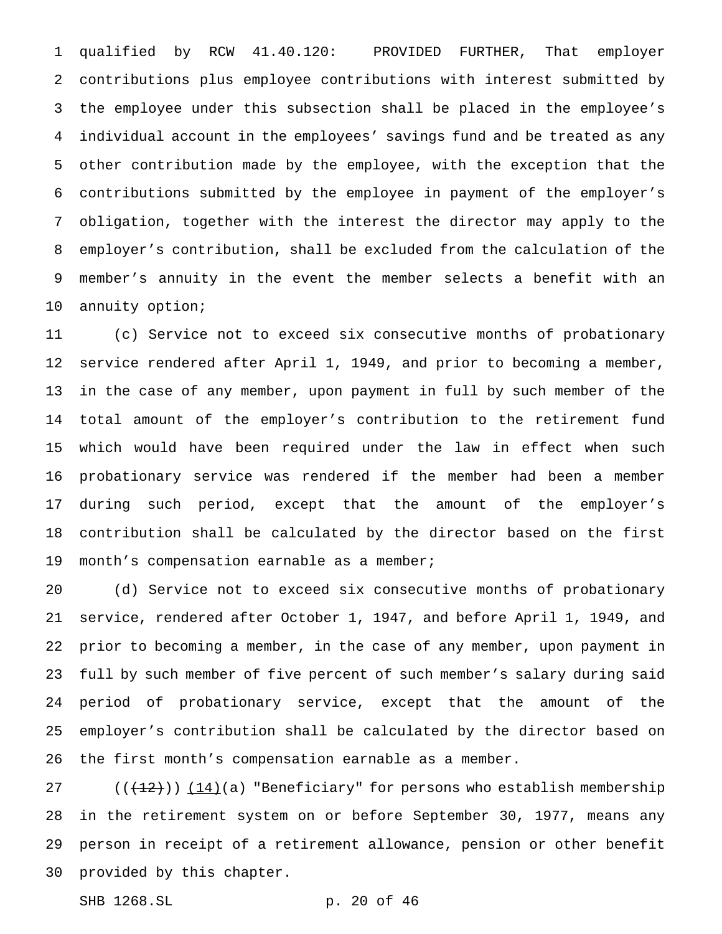qualified by RCW 41.40.120: PROVIDED FURTHER, That employer contributions plus employee contributions with interest submitted by the employee under this subsection shall be placed in the employee's individual account in the employees' savings fund and be treated as any other contribution made by the employee, with the exception that the contributions submitted by the employee in payment of the employer's obligation, together with the interest the director may apply to the employer's contribution, shall be excluded from the calculation of the member's annuity in the event the member selects a benefit with an annuity option;

 (c) Service not to exceed six consecutive months of probationary service rendered after April 1, 1949, and prior to becoming a member, in the case of any member, upon payment in full by such member of the total amount of the employer's contribution to the retirement fund which would have been required under the law in effect when such probationary service was rendered if the member had been a member during such period, except that the amount of the employer's contribution shall be calculated by the director based on the first month's compensation earnable as a member;

 (d) Service not to exceed six consecutive months of probationary service, rendered after October 1, 1947, and before April 1, 1949, and prior to becoming a member, in the case of any member, upon payment in full by such member of five percent of such member's salary during said period of probationary service, except that the amount of the employer's contribution shall be calculated by the director based on the first month's compensation earnable as a member.

27 ( $(\frac{12}{12})$ )  $(14)$ (a) "Beneficiary" for persons who establish membership in the retirement system on or before September 30, 1977, means any person in receipt of a retirement allowance, pension or other benefit provided by this chapter.

```
SHB 1268.SL p. 20 of 46
```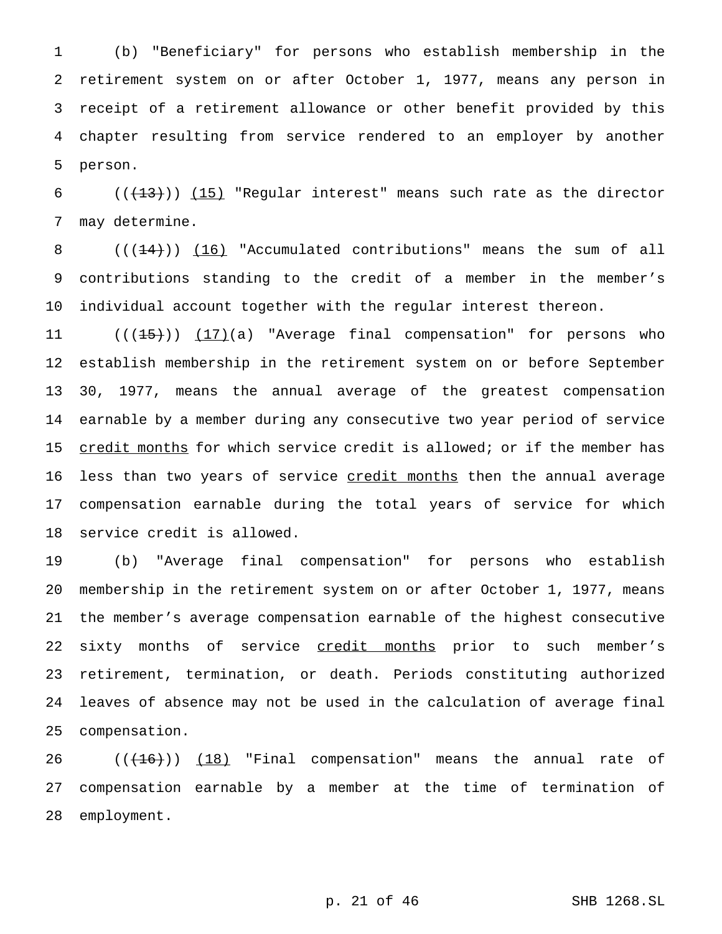(b) "Beneficiary" for persons who establish membership in the retirement system on or after October 1, 1977, means any person in receipt of a retirement allowance or other benefit provided by this chapter resulting from service rendered to an employer by another person.

 $((+13))$   $(15)$  "Regular interest" means such rate as the director may determine.

8  $((14))$   $(16)$  "Accumulated contributions" means the sum of all contributions standing to the credit of a member in the member's individual account together with the regular interest thereon.

11 (((15))) (17)(a) "Average final compensation" for persons who establish membership in the retirement system on or before September 30, 1977, means the annual average of the greatest compensation earnable by a member during any consecutive two year period of service 15 credit months for which service credit is allowed; or if the member has 16 less than two years of service credit months then the annual average compensation earnable during the total years of service for which service credit is allowed.

 (b) "Average final compensation" for persons who establish membership in the retirement system on or after October 1, 1977, means the member's average compensation earnable of the highest consecutive 22 sixty months of service credit months prior to such member's retirement, termination, or death. Periods constituting authorized leaves of absence may not be used in the calculation of average final compensation.

 $((+16))$   $(18)$  "Final compensation" means the annual rate of compensation earnable by a member at the time of termination of employment.

p. 21 of 46 SHB 1268.SL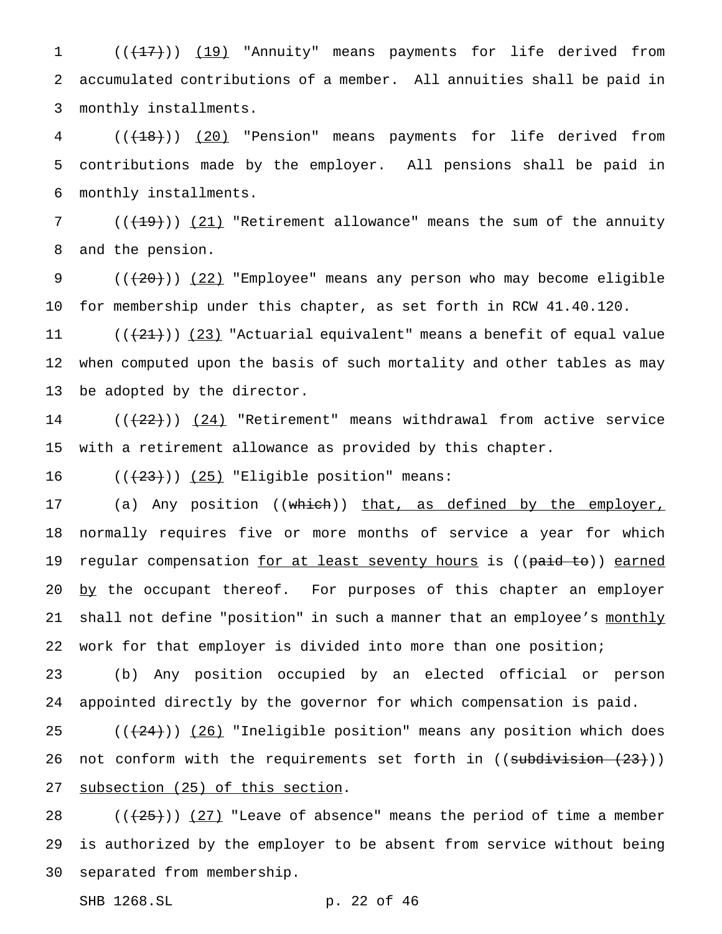1 (( $\left(\frac{17}{12}\right)$ ) (19) "Annuity" means payments for life derived from 2 accumulated contributions of a member. All annuities shall be paid in 3 monthly installments.

4 (( $(18)$ )) (20) "Pension" means payments for life derived from 5 contributions made by the employer. All pensions shall be paid in 6 monthly installments.

 $7$  ( $(\frac{19}{19})$ ) (21) "Retirement allowance" means the sum of the annuity 8 and the pension.

9 (( $(20)$ )) (22) "Employee" means any person who may become eligible 10 for membership under this chapter, as set forth in RCW 41.40.120.

11  $((+21+))$   $(23)$  "Actuarial equivalent" means a benefit of equal value 12 when computed upon the basis of such mortality and other tables as may 13 be adopted by the director.

14  $((+22))$   $(24)$  "Retirement" means withdrawal from active service 15 with a retirement allowance as provided by this chapter.

16  $((+23))$   $(25)$  "Eligible position" means:

17 (a) Any position ((which)) that, as defined by the employer, 18 normally requires five or more months of service a year for which 19 regular compensation for at least seventy hours is ((paid to)) earned 20 by the occupant thereof. For purposes of this chapter an employer 21 shall not define "position" in such a manner that an employee's monthly 22 work for that employer is divided into more than one position;

23 (b) Any position occupied by an elected official or person 24 appointed directly by the governor for which compensation is paid.

25  $((+24))$   $(26)$  "Ineligible position" means any position which does 26 not conform with the requirements set forth in  $((subdivision (23))$ 27 subsection (25) of this section.

28  $((+25))$   $(27)$  "Leave of absence" means the period of time a member 29 is authorized by the employer to be absent from service without being 30 separated from membership.

SHB 1268.SL p. 22 of 46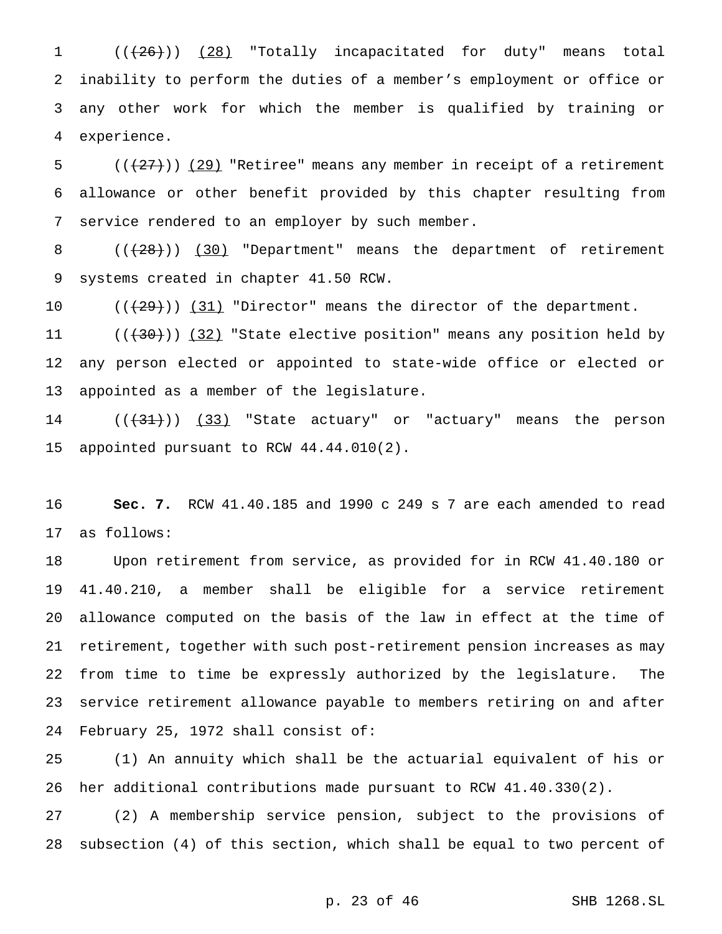1 (( $(26)$ )) (28) "Totally incapacitated for duty" means total inability to perform the duties of a member's employment or office or any other work for which the member is qualified by training or experience.

5  $((+27))$   $(29)$  "Retiree" means any member in receipt of a retirement allowance or other benefit provided by this chapter resulting from service rendered to an employer by such member.

8 (( $(28)$ )) (30) "Department" means the department of retirement systems created in chapter 41.50 RCW.

 $((+29))$  (31) "Director" means the director of the department.

11 (( $(30)$ )) (32) "State elective position" means any position held by any person elected or appointed to state-wide office or elected or appointed as a member of the legislature.

14 (( $(31)$ ) (33) "State actuary" or "actuary" means the person appointed pursuant to RCW 44.44.010(2).

 **Sec. 7.** RCW 41.40.185 and 1990 c 249 s 7 are each amended to read as follows:

 Upon retirement from service, as provided for in RCW 41.40.180 or 41.40.210, a member shall be eligible for a service retirement allowance computed on the basis of the law in effect at the time of retirement, together with such post-retirement pension increases as may from time to time be expressly authorized by the legislature. The service retirement allowance payable to members retiring on and after February 25, 1972 shall consist of:

 (1) An annuity which shall be the actuarial equivalent of his or her additional contributions made pursuant to RCW 41.40.330(2).

 (2) A membership service pension, subject to the provisions of subsection (4) of this section, which shall be equal to two percent of

p. 23 of 46 SHB 1268.SL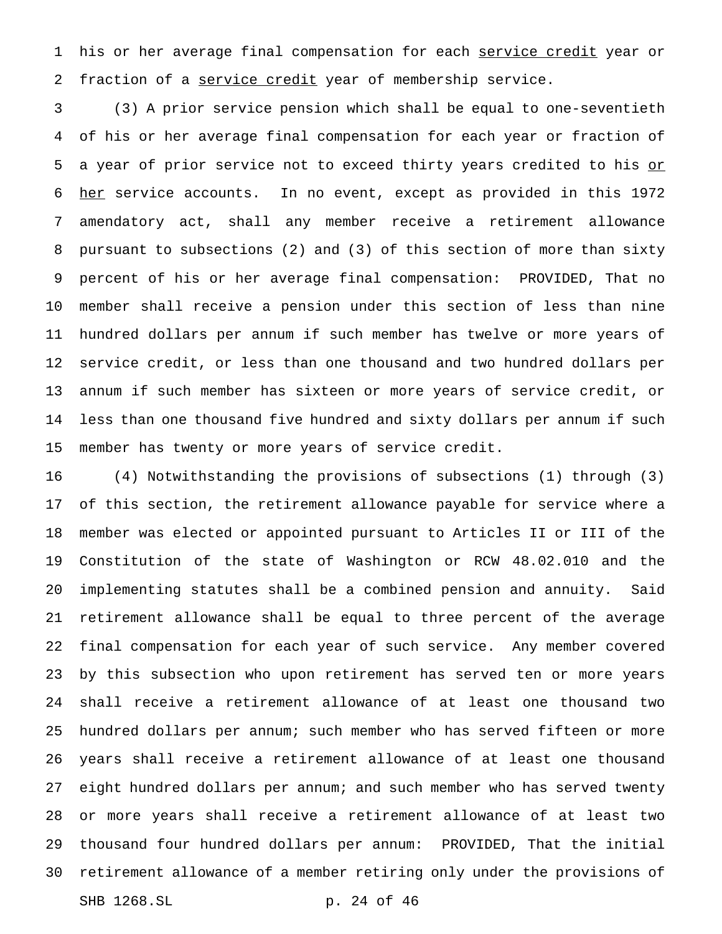1 his or her average final compensation for each service credit year or fraction of a service credit year of membership service.

 (3) A prior service pension which shall be equal to one-seventieth of his or her average final compensation for each year or fraction of 5 a year of prior service not to exceed thirty years credited to his or 6 her service accounts. In no event, except as provided in this 1972 amendatory act, shall any member receive a retirement allowance pursuant to subsections (2) and (3) of this section of more than sixty percent of his or her average final compensation: PROVIDED, That no member shall receive a pension under this section of less than nine hundred dollars per annum if such member has twelve or more years of service credit, or less than one thousand and two hundred dollars per annum if such member has sixteen or more years of service credit, or less than one thousand five hundred and sixty dollars per annum if such member has twenty or more years of service credit.

 (4) Notwithstanding the provisions of subsections (1) through (3) of this section, the retirement allowance payable for service where a member was elected or appointed pursuant to Articles II or III of the Constitution of the state of Washington or RCW 48.02.010 and the implementing statutes shall be a combined pension and annuity. Said retirement allowance shall be equal to three percent of the average final compensation for each year of such service. Any member covered by this subsection who upon retirement has served ten or more years shall receive a retirement allowance of at least one thousand two hundred dollars per annum; such member who has served fifteen or more years shall receive a retirement allowance of at least one thousand eight hundred dollars per annum; and such member who has served twenty or more years shall receive a retirement allowance of at least two thousand four hundred dollars per annum: PROVIDED, That the initial retirement allowance of a member retiring only under the provisions of SHB 1268.SL p. 24 of 46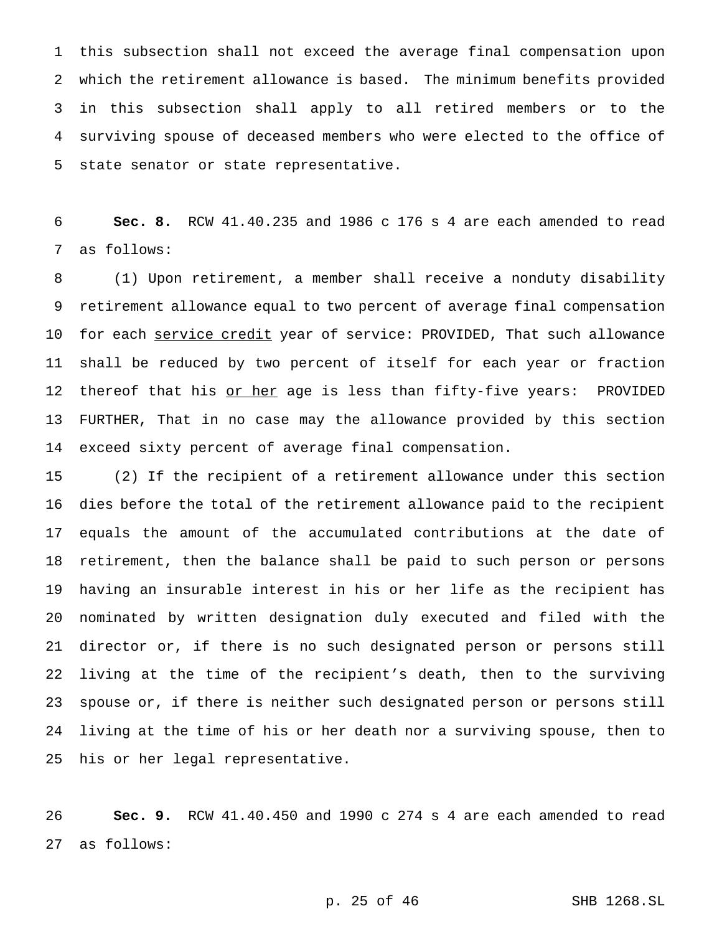this subsection shall not exceed the average final compensation upon which the retirement allowance is based. The minimum benefits provided in this subsection shall apply to all retired members or to the surviving spouse of deceased members who were elected to the office of state senator or state representative.

 **Sec. 8.** RCW 41.40.235 and 1986 c 176 s 4 are each amended to read as follows:

 (1) Upon retirement, a member shall receive a nonduty disability retirement allowance equal to two percent of average final compensation 10 for each service credit year of service: PROVIDED, That such allowance shall be reduced by two percent of itself for each year or fraction 12 thereof that his <u>or her</u> age is less than fifty-five years: PROVIDED FURTHER, That in no case may the allowance provided by this section exceed sixty percent of average final compensation.

 (2) If the recipient of a retirement allowance under this section dies before the total of the retirement allowance paid to the recipient equals the amount of the accumulated contributions at the date of retirement, then the balance shall be paid to such person or persons having an insurable interest in his or her life as the recipient has nominated by written designation duly executed and filed with the director or, if there is no such designated person or persons still living at the time of the recipient's death, then to the surviving spouse or, if there is neither such designated person or persons still living at the time of his or her death nor a surviving spouse, then to his or her legal representative.

 **Sec. 9.** RCW 41.40.450 and 1990 c 274 s 4 are each amended to read as follows:

p. 25 of 46 SHB 1268.SL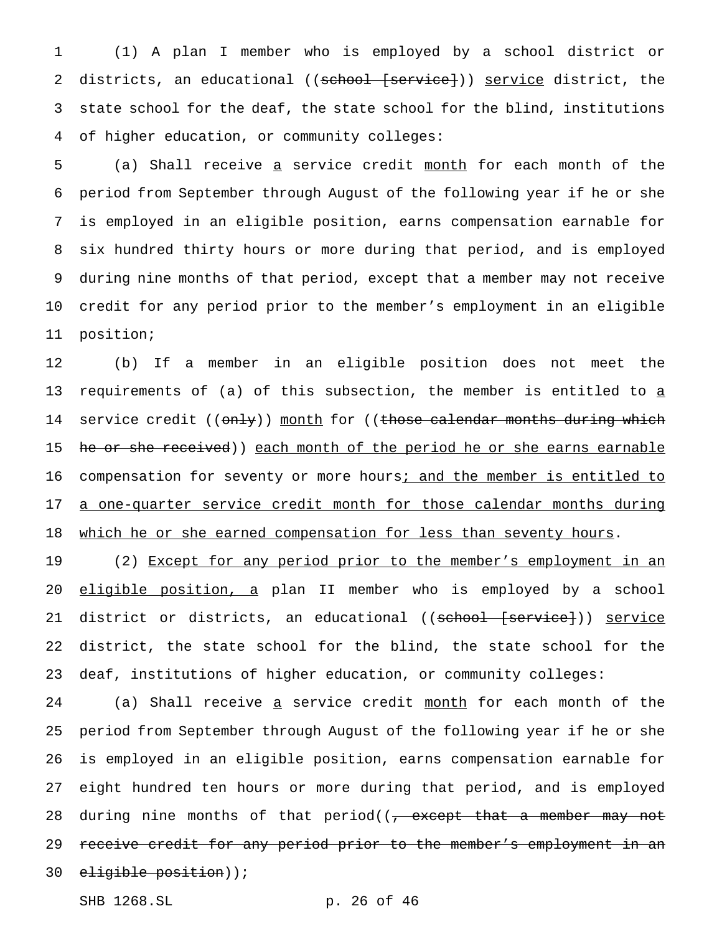(1) A plan I member who is employed by a school district or 2 districts, an educational ((school [service])) service district, the state school for the deaf, the state school for the blind, institutions of higher education, or community colleges:

5 (a) Shall receive a service credit month for each month of the period from September through August of the following year if he or she is employed in an eligible position, earns compensation earnable for six hundred thirty hours or more during that period, and is employed during nine months of that period, except that a member may not receive credit for any period prior to the member's employment in an eligible position;

12 (b) If a member in an eligible position does not meet the 13 requirements of (a) of this subsection, the member is entitled to  $\underline{a}$ 14 service credit ((only)) month for ((those calendar months during which 15 he or she received)) each month of the period he or she earns earnable 16 compensation for seventy or more hours; and the member is entitled to 17 a one-quarter service credit month for those calendar months during 18 which he or she earned compensation for less than seventy hours.

19 (2) Except for any period prior to the member's employment in an 20 eligible position, a plan II member who is employed by a school 21 district or districts, an educational ((school [service])) service 22 district, the state school for the blind, the state school for the 23 deaf, institutions of higher education, or community colleges:

24 (a) Shall receive a service credit month for each month of the 25 period from September through August of the following year if he or she 26 is employed in an eligible position, earns compensation earnable for 27 eight hundred ten hours or more during that period, and is employed 28 during nine months of that period((, except that a member may not 29 receive credit for any period prior to the member's employment in an 30 eligible position));

SHB 1268.SL p. 26 of 46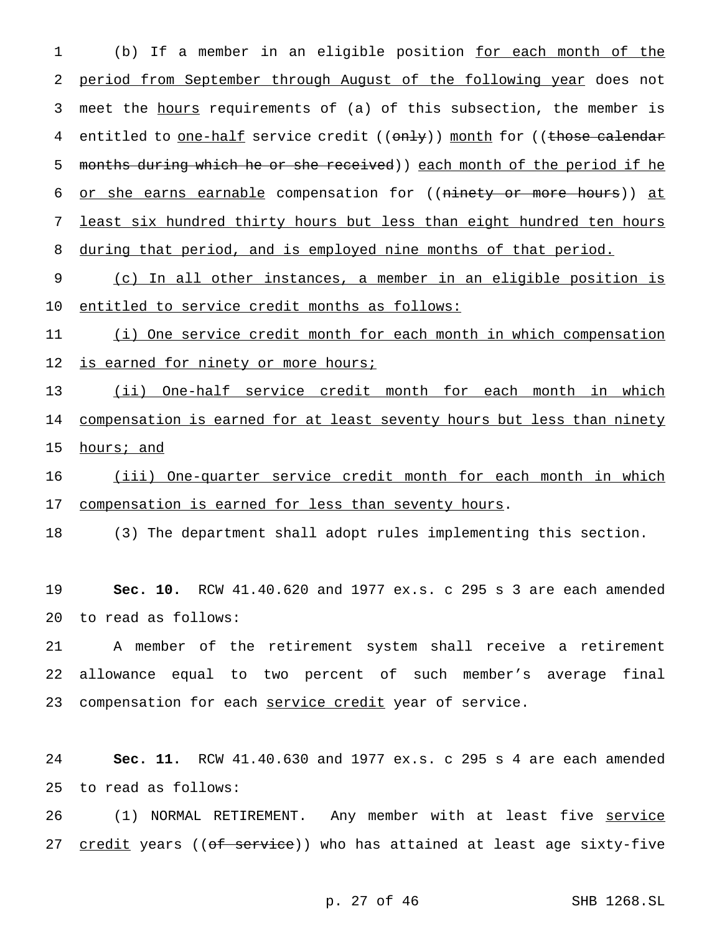(b) If a member in an eligible position for each month of the period from September through August of the following year does not meet the hours requirements of (a) of this subsection, the member is 4 entitled to <u>one-half</u> service credit ((only)) month for ((those calendar months during which he or she received)) each month of the period if he 6 or she earns earnable compensation for ((ninety or more hours)) at least six hundred thirty hours but less than eight hundred ten hours 8 during that period, and is employed nine months of that period.

 (c) In all other instances, a member in an eligible position is entitled to service credit months as follows:

 (i) One service credit month for each month in which compensation 12 is earned for ninety or more hours;

 (ii) One-half service credit month for each month in which 14 compensation is earned for at least seventy hours but less than ninety 15 hours; and

16 (iii) One-quarter service credit month for each month in which compensation is earned for less than seventy hours.

(3) The department shall adopt rules implementing this section.

 **Sec. 10.** RCW 41.40.620 and 1977 ex.s. c 295 s 3 are each amended to read as follows:

 A member of the retirement system shall receive a retirement allowance equal to two percent of such member's average final 23 compensation for each service credit year of service.

 **Sec. 11.** RCW 41.40.630 and 1977 ex.s. c 295 s 4 are each amended to read as follows:

26 (1) NORMAL RETIREMENT. Any member with at least five service 27 credit years ((of service)) who has attained at least age sixty-five

p. 27 of 46 SHB 1268.SL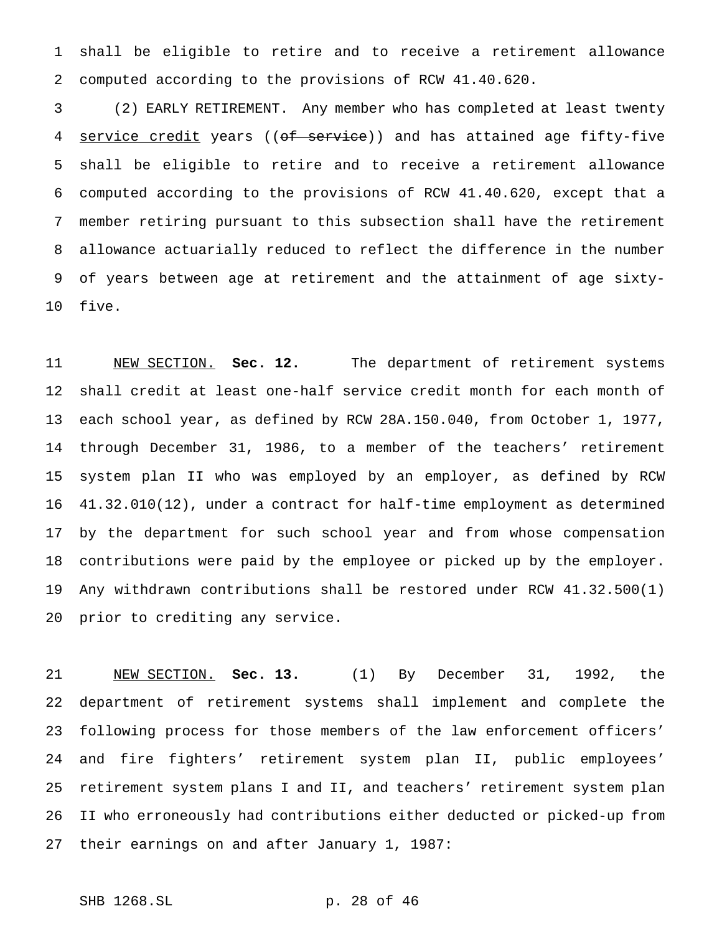shall be eligible to retire and to receive a retirement allowance computed according to the provisions of RCW 41.40.620.

 (2) EARLY RETIREMENT. Any member who has completed at least twenty 4 service credit years ((of service)) and has attained age fifty-five shall be eligible to retire and to receive a retirement allowance computed according to the provisions of RCW 41.40.620, except that a member retiring pursuant to this subsection shall have the retirement allowance actuarially reduced to reflect the difference in the number of years between age at retirement and the attainment of age sixty-five.

 NEW SECTION. **Sec. 12.** The department of retirement systems shall credit at least one-half service credit month for each month of each school year, as defined by RCW 28A.150.040, from October 1, 1977, through December 31, 1986, to a member of the teachers' retirement system plan II who was employed by an employer, as defined by RCW 41.32.010(12), under a contract for half-time employment as determined by the department for such school year and from whose compensation contributions were paid by the employee or picked up by the employer. Any withdrawn contributions shall be restored under RCW 41.32.500(1) prior to crediting any service.

 NEW SECTION. **Sec. 13.** (1) By December 31, 1992, the department of retirement systems shall implement and complete the following process for those members of the law enforcement officers' and fire fighters' retirement system plan II, public employees' retirement system plans I and II, and teachers' retirement system plan II who erroneously had contributions either deducted or picked-up from their earnings on and after January 1, 1987:

```
SHB 1268.SL p. 28 of 46
```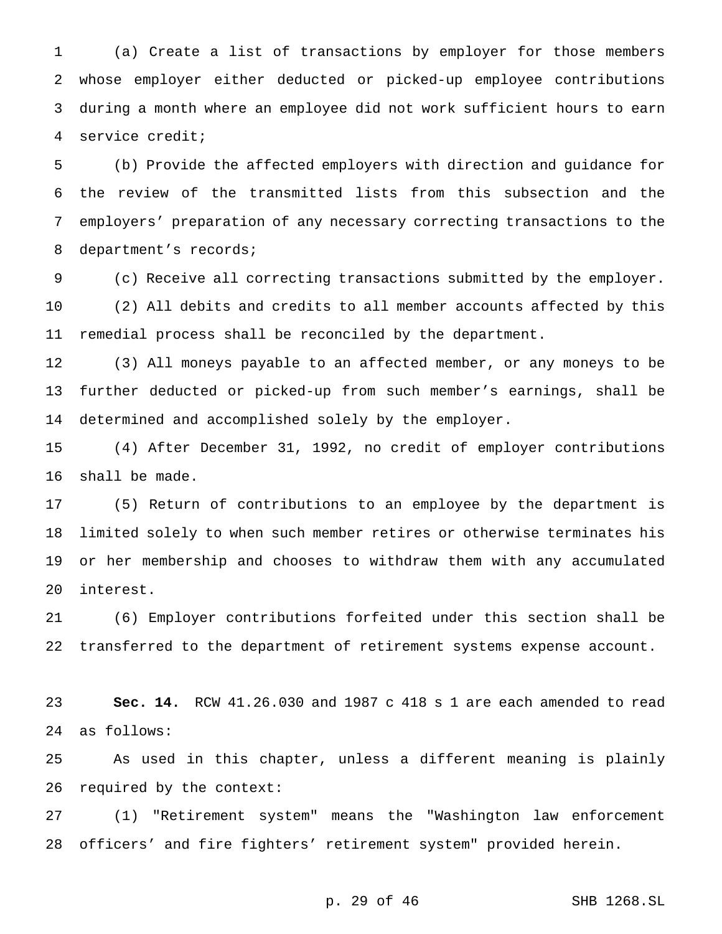(a) Create a list of transactions by employer for those members whose employer either deducted or picked-up employee contributions during a month where an employee did not work sufficient hours to earn service credit;

 (b) Provide the affected employers with direction and guidance for the review of the transmitted lists from this subsection and the employers' preparation of any necessary correcting transactions to the department's records;

 (c) Receive all correcting transactions submitted by the employer. (2) All debits and credits to all member accounts affected by this remedial process shall be reconciled by the department.

 (3) All moneys payable to an affected member, or any moneys to be further deducted or picked-up from such member's earnings, shall be determined and accomplished solely by the employer.

 (4) After December 31, 1992, no credit of employer contributions shall be made.

 (5) Return of contributions to an employee by the department is limited solely to when such member retires or otherwise terminates his or her membership and chooses to withdraw them with any accumulated interest.

 (6) Employer contributions forfeited under this section shall be transferred to the department of retirement systems expense account.

 **Sec. 14.** RCW 41.26.030 and 1987 c 418 s 1 are each amended to read as follows:

 As used in this chapter, unless a different meaning is plainly required by the context:

 (1) "Retirement system" means the "Washington law enforcement officers' and fire fighters' retirement system" provided herein.

p. 29 of 46 SHB 1268.SL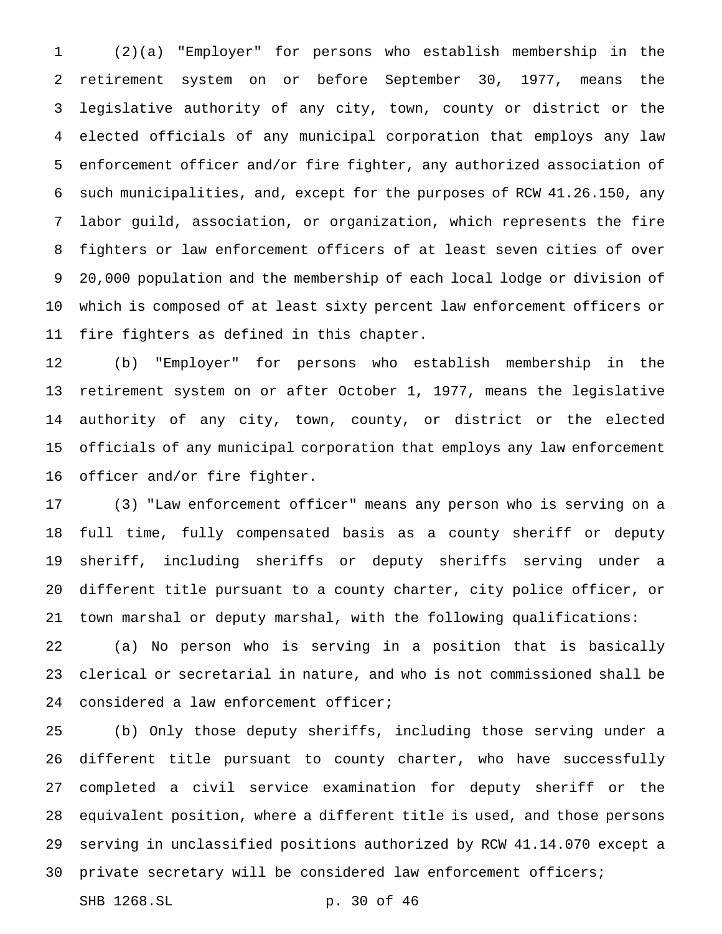(2)(a) "Employer" for persons who establish membership in the retirement system on or before September 30, 1977, means the legislative authority of any city, town, county or district or the elected officials of any municipal corporation that employs any law enforcement officer and/or fire fighter, any authorized association of such municipalities, and, except for the purposes of RCW 41.26.150, any labor guild, association, or organization, which represents the fire fighters or law enforcement officers of at least seven cities of over 20,000 population and the membership of each local lodge or division of which is composed of at least sixty percent law enforcement officers or fire fighters as defined in this chapter.

 (b) "Employer" for persons who establish membership in the retirement system on or after October 1, 1977, means the legislative authority of any city, town, county, or district or the elected officials of any municipal corporation that employs any law enforcement officer and/or fire fighter.

 (3) "Law enforcement officer" means any person who is serving on a full time, fully compensated basis as a county sheriff or deputy sheriff, including sheriffs or deputy sheriffs serving under a different title pursuant to a county charter, city police officer, or town marshal or deputy marshal, with the following qualifications:

 (a) No person who is serving in a position that is basically clerical or secretarial in nature, and who is not commissioned shall be 24 considered a law enforcement officer;

 (b) Only those deputy sheriffs, including those serving under a different title pursuant to county charter, who have successfully completed a civil service examination for deputy sheriff or the equivalent position, where a different title is used, and those persons serving in unclassified positions authorized by RCW 41.14.070 except a private secretary will be considered law enforcement officers;

SHB 1268.SL p. 30 of 46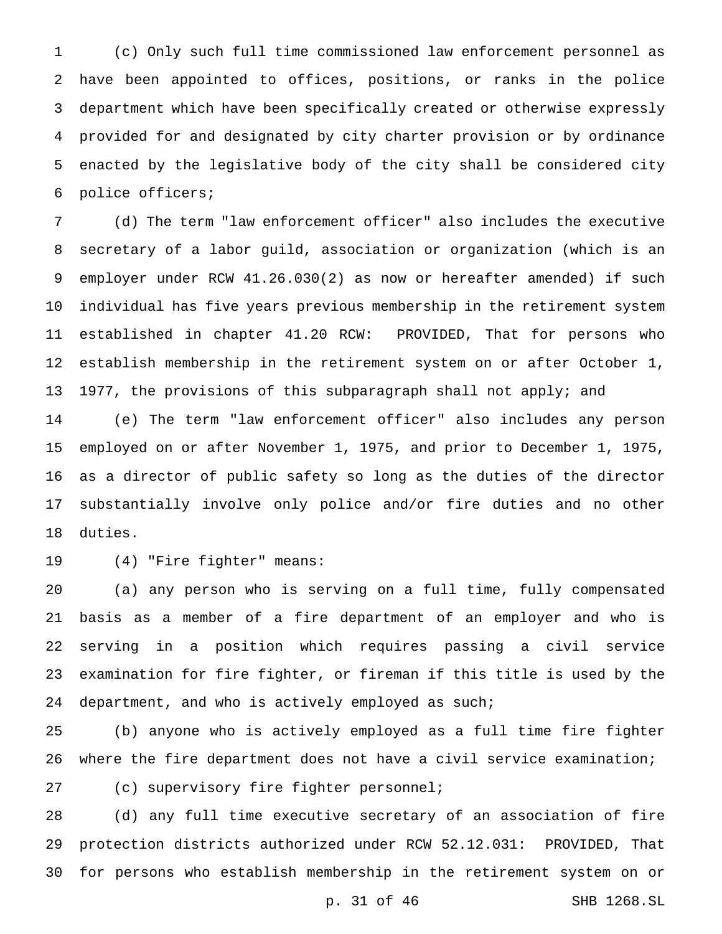(c) Only such full time commissioned law enforcement personnel as have been appointed to offices, positions, or ranks in the police department which have been specifically created or otherwise expressly provided for and designated by city charter provision or by ordinance enacted by the legislative body of the city shall be considered city police officers;

 (d) The term "law enforcement officer" also includes the executive secretary of a labor guild, association or organization (which is an employer under RCW 41.26.030(2) as now or hereafter amended) if such individual has five years previous membership in the retirement system established in chapter 41.20 RCW: PROVIDED, That for persons who establish membership in the retirement system on or after October 1, 1977, the provisions of this subparagraph shall not apply; and

 (e) The term "law enforcement officer" also includes any person employed on or after November 1, 1975, and prior to December 1, 1975, as a director of public safety so long as the duties of the director substantially involve only police and/or fire duties and no other duties.

(4) "Fire fighter" means:

 (a) any person who is serving on a full time, fully compensated basis as a member of a fire department of an employer and who is serving in a position which requires passing a civil service examination for fire fighter, or fireman if this title is used by the department, and who is actively employed as such;

 (b) anyone who is actively employed as a full time fire fighter where the fire department does not have a civil service examination;

(c) supervisory fire fighter personnel;

 (d) any full time executive secretary of an association of fire protection districts authorized under RCW 52.12.031: PROVIDED, That for persons who establish membership in the retirement system on or

p. 31 of 46 SHB 1268.SL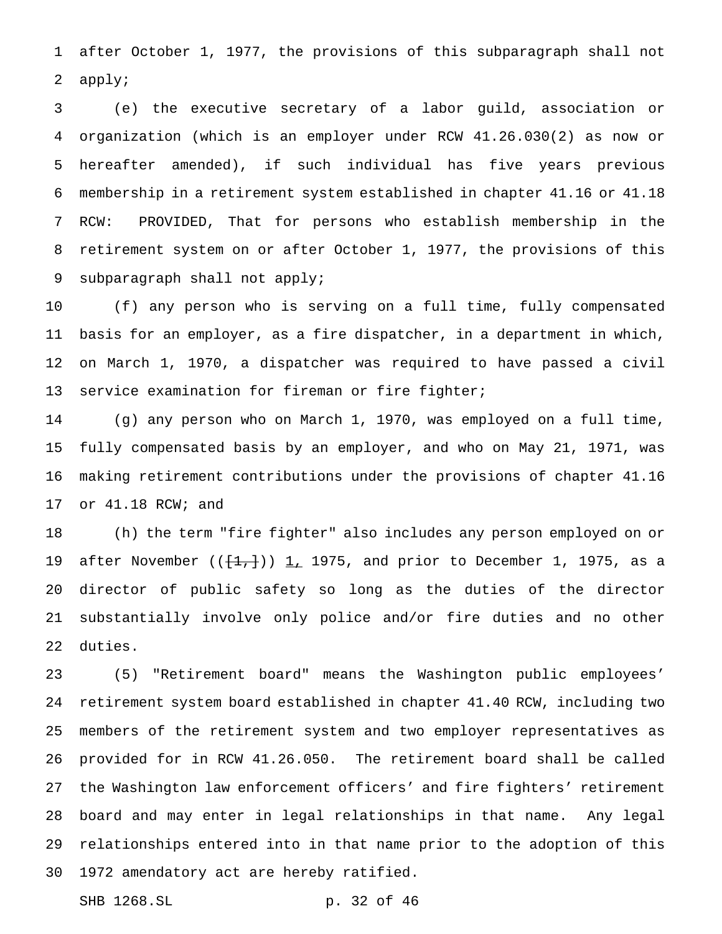after October 1, 1977, the provisions of this subparagraph shall not apply;

 (e) the executive secretary of a labor guild, association or organization (which is an employer under RCW 41.26.030(2) as now or hereafter amended), if such individual has five years previous membership in a retirement system established in chapter 41.16 or 41.18 RCW: PROVIDED, That for persons who establish membership in the retirement system on or after October 1, 1977, the provisions of this subparagraph shall not apply;

 (f) any person who is serving on a full time, fully compensated basis for an employer, as a fire dispatcher, in a department in which, on March 1, 1970, a dispatcher was required to have passed a civil service examination for fireman or fire fighter;

 (g) any person who on March 1, 1970, was employed on a full time, fully compensated basis by an employer, and who on May 21, 1971, was making retirement contributions under the provisions of chapter 41.16 or 41.18 RCW; and

 (h) the term "fire fighter" also includes any person employed on or 19 after November  $((+1,+)$ )  $1/2$  1975, and prior to December 1, 1975, as a director of public safety so long as the duties of the director substantially involve only police and/or fire duties and no other duties.

 (5) "Retirement board" means the Washington public employees' retirement system board established in chapter 41.40 RCW, including two members of the retirement system and two employer representatives as provided for in RCW 41.26.050. The retirement board shall be called the Washington law enforcement officers' and fire fighters' retirement board and may enter in legal relationships in that name. Any legal relationships entered into in that name prior to the adoption of this 1972 amendatory act are hereby ratified.

```
SHB 1268.SL p. 32 of 46
```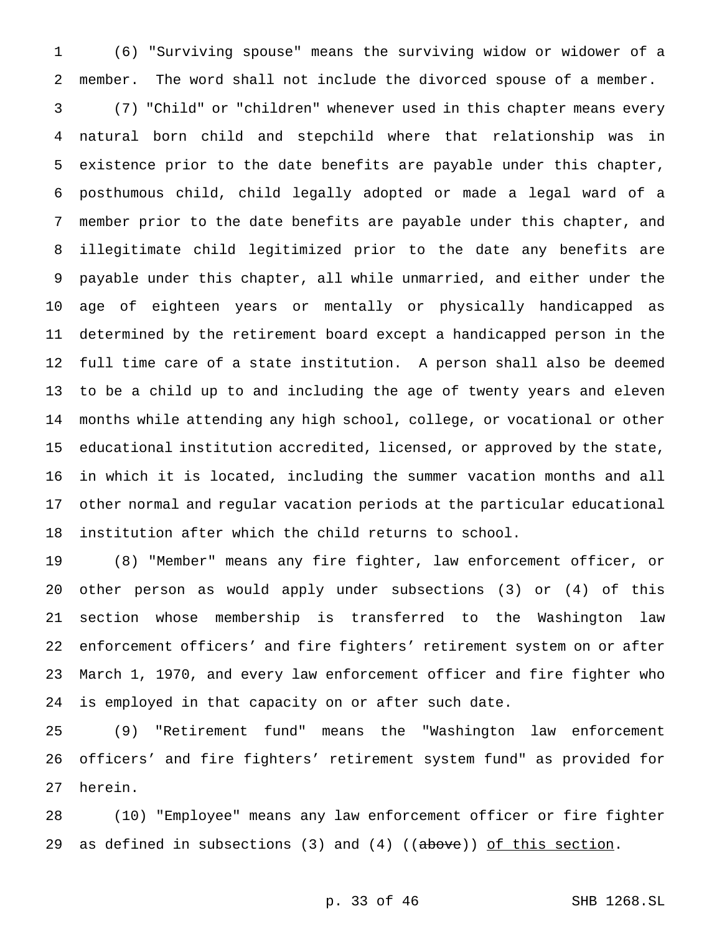(6) "Surviving spouse" means the surviving widow or widower of a member. The word shall not include the divorced spouse of a member. (7) "Child" or "children" whenever used in this chapter means every natural born child and stepchild where that relationship was in existence prior to the date benefits are payable under this chapter, posthumous child, child legally adopted or made a legal ward of a member prior to the date benefits are payable under this chapter, and illegitimate child legitimized prior to the date any benefits are payable under this chapter, all while unmarried, and either under the age of eighteen years or mentally or physically handicapped as determined by the retirement board except a handicapped person in the full time care of a state institution. A person shall also be deemed to be a child up to and including the age of twenty years and eleven months while attending any high school, college, or vocational or other educational institution accredited, licensed, or approved by the state, in which it is located, including the summer vacation months and all other normal and regular vacation periods at the particular educational institution after which the child returns to school.

 (8) "Member" means any fire fighter, law enforcement officer, or other person as would apply under subsections (3) or (4) of this section whose membership is transferred to the Washington law enforcement officers' and fire fighters' retirement system on or after March 1, 1970, and every law enforcement officer and fire fighter who is employed in that capacity on or after such date.

 (9) "Retirement fund" means the "Washington law enforcement officers' and fire fighters' retirement system fund" as provided for herein.

 (10) "Employee" means any law enforcement officer or fire fighter 29 as defined in subsections  $(3)$  and  $(4)$   $((above))$  of this section.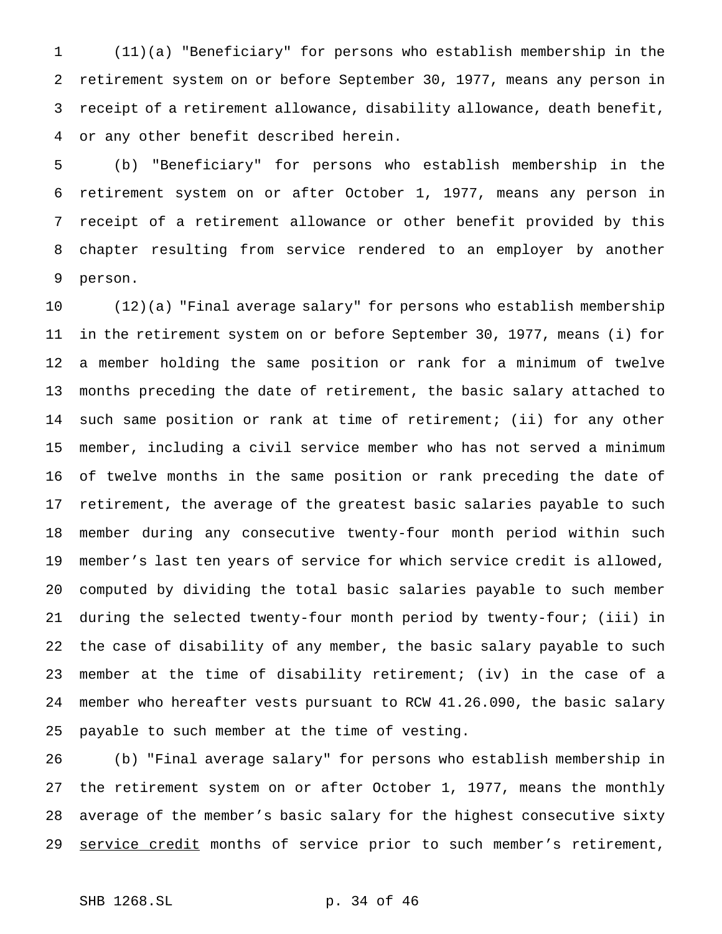(11)(a) "Beneficiary" for persons who establish membership in the retirement system on or before September 30, 1977, means any person in receipt of a retirement allowance, disability allowance, death benefit, or any other benefit described herein.

 (b) "Beneficiary" for persons who establish membership in the retirement system on or after October 1, 1977, means any person in receipt of a retirement allowance or other benefit provided by this chapter resulting from service rendered to an employer by another person.

 (12)(a) "Final average salary" for persons who establish membership in the retirement system on or before September 30, 1977, means (i) for a member holding the same position or rank for a minimum of twelve months preceding the date of retirement, the basic salary attached to such same position or rank at time of retirement; (ii) for any other member, including a civil service member who has not served a minimum of twelve months in the same position or rank preceding the date of retirement, the average of the greatest basic salaries payable to such member during any consecutive twenty-four month period within such member's last ten years of service for which service credit is allowed, computed by dividing the total basic salaries payable to such member during the selected twenty-four month period by twenty-four; (iii) in the case of disability of any member, the basic salary payable to such member at the time of disability retirement; (iv) in the case of a member who hereafter vests pursuant to RCW 41.26.090, the basic salary payable to such member at the time of vesting.

 (b) "Final average salary" for persons who establish membership in the retirement system on or after October 1, 1977, means the monthly average of the member's basic salary for the highest consecutive sixty 29 service credit months of service prior to such member's retirement,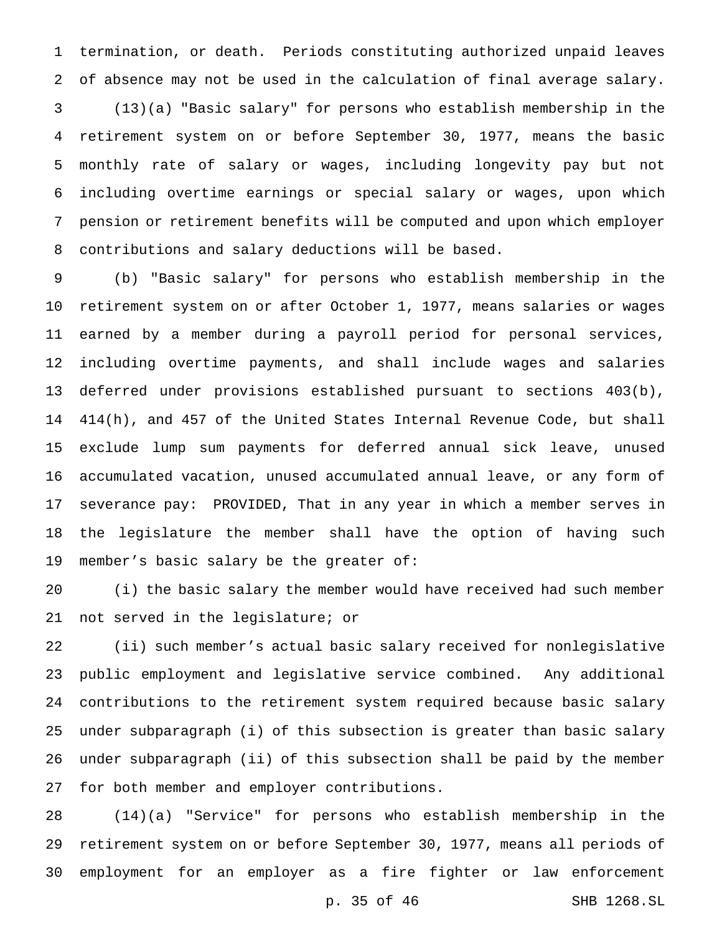termination, or death. Periods constituting authorized unpaid leaves of absence may not be used in the calculation of final average salary. (13)(a) "Basic salary" for persons who establish membership in the retirement system on or before September 30, 1977, means the basic monthly rate of salary or wages, including longevity pay but not including overtime earnings or special salary or wages, upon which pension or retirement benefits will be computed and upon which employer contributions and salary deductions will be based.

 (b) "Basic salary" for persons who establish membership in the retirement system on or after October 1, 1977, means salaries or wages earned by a member during a payroll period for personal services, including overtime payments, and shall include wages and salaries deferred under provisions established pursuant to sections 403(b), 414(h), and 457 of the United States Internal Revenue Code, but shall exclude lump sum payments for deferred annual sick leave, unused accumulated vacation, unused accumulated annual leave, or any form of severance pay: PROVIDED, That in any year in which a member serves in the legislature the member shall have the option of having such member's basic salary be the greater of:

 (i) the basic salary the member would have received had such member not served in the legislature; or

 (ii) such member's actual basic salary received for nonlegislative public employment and legislative service combined. Any additional contributions to the retirement system required because basic salary under subparagraph (i) of this subsection is greater than basic salary under subparagraph (ii) of this subsection shall be paid by the member for both member and employer contributions.

 (14)(a) "Service" for persons who establish membership in the retirement system on or before September 30, 1977, means all periods of employment for an employer as a fire fighter or law enforcement

p. 35 of 46 SHB 1268.SL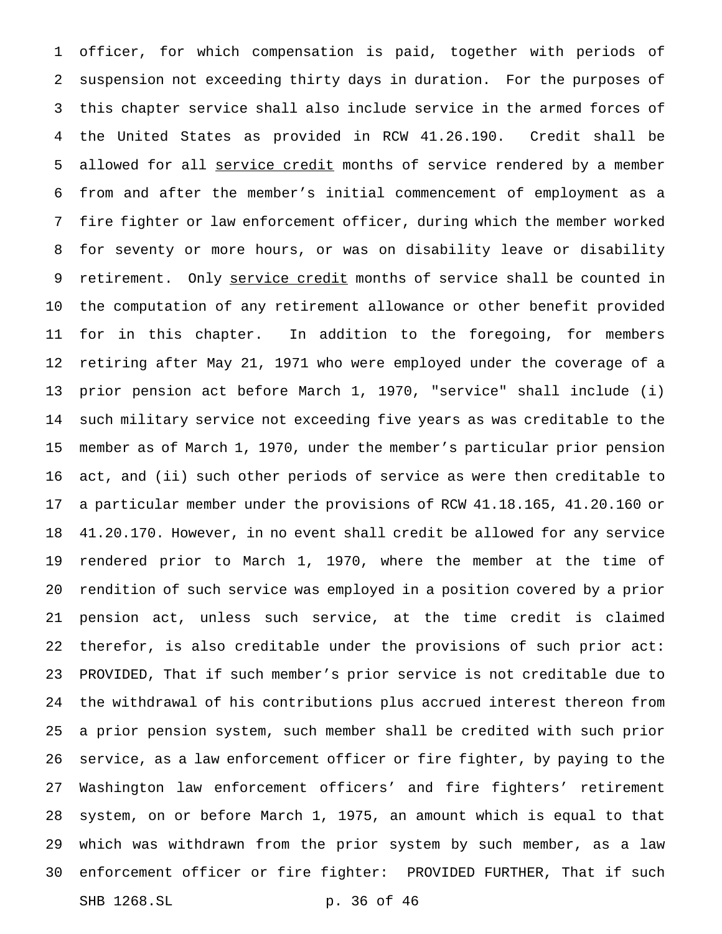officer, for which compensation is paid, together with periods of suspension not exceeding thirty days in duration. For the purposes of this chapter service shall also include service in the armed forces of the United States as provided in RCW 41.26.190. Credit shall be 5 allowed for all service credit months of service rendered by a member from and after the member's initial commencement of employment as a fire fighter or law enforcement officer, during which the member worked for seventy or more hours, or was on disability leave or disability 9 retirement. Only service credit months of service shall be counted in the computation of any retirement allowance or other benefit provided for in this chapter. In addition to the foregoing, for members retiring after May 21, 1971 who were employed under the coverage of a prior pension act before March 1, 1970, "service" shall include (i) such military service not exceeding five years as was creditable to the member as of March 1, 1970, under the member's particular prior pension act, and (ii) such other periods of service as were then creditable to a particular member under the provisions of RCW 41.18.165, 41.20.160 or 41.20.170. However, in no event shall credit be allowed for any service rendered prior to March 1, 1970, where the member at the time of rendition of such service was employed in a position covered by a prior pension act, unless such service, at the time credit is claimed therefor, is also creditable under the provisions of such prior act: PROVIDED, That if such member's prior service is not creditable due to the withdrawal of his contributions plus accrued interest thereon from a prior pension system, such member shall be credited with such prior service, as a law enforcement officer or fire fighter, by paying to the Washington law enforcement officers' and fire fighters' retirement system, on or before March 1, 1975, an amount which is equal to that which was withdrawn from the prior system by such member, as a law enforcement officer or fire fighter: PROVIDED FURTHER, That if such SHB 1268.SL p. 36 of 46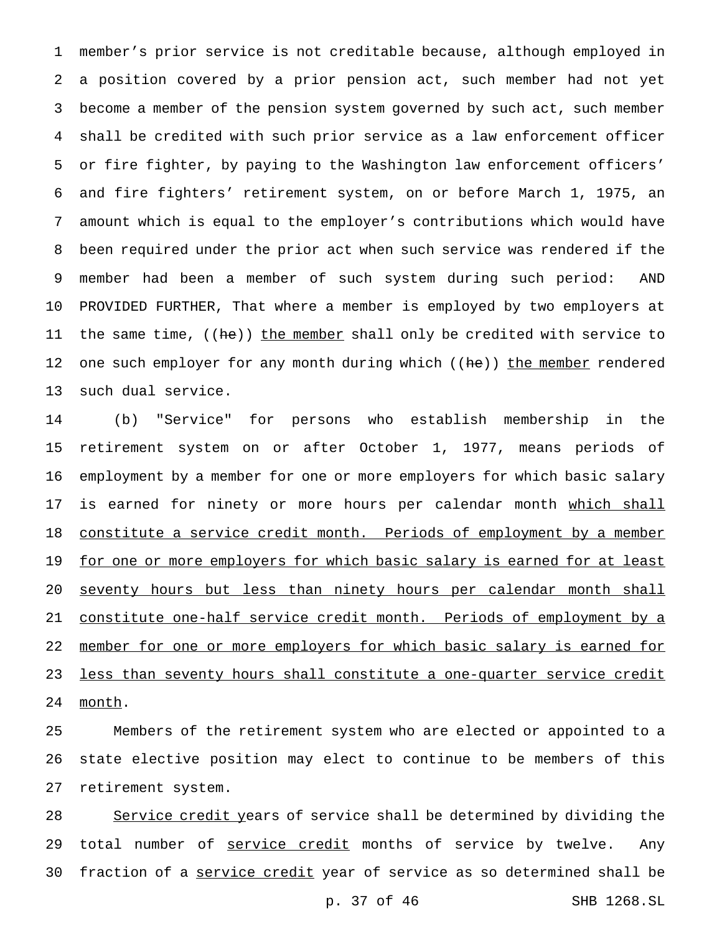member's prior service is not creditable because, although employed in a position covered by a prior pension act, such member had not yet become a member of the pension system governed by such act, such member shall be credited with such prior service as a law enforcement officer or fire fighter, by paying to the Washington law enforcement officers' and fire fighters' retirement system, on or before March 1, 1975, an amount which is equal to the employer's contributions which would have been required under the prior act when such service was rendered if the member had been a member of such system during such period: AND PROVIDED FURTHER, That where a member is employed by two employers at 11 the same time, ((he)) the member shall only be credited with service to 12 one such employer for any month during which ((he)) the member rendered such dual service.

 (b) "Service" for persons who establish membership in the retirement system on or after October 1, 1977, means periods of employment by a member for one or more employers for which basic salary 17 is earned for ninety or more hours per calendar month which shall 18 constitute a service credit month. Periods of employment by a member 19 for one or more employers for which basic salary is earned for at least 20 seventy hours but less than ninety hours per calendar month shall constitute one-half service credit month. Periods of employment by a member for one or more employers for which basic salary is earned for 23 less than seventy hours shall constitute a one-quarter service credit month.

 Members of the retirement system who are elected or appointed to a state elective position may elect to continue to be members of this retirement system.

28 Service credit years of service shall be determined by dividing the 29 total number of service credit months of service by twelve. Any 30 fraction of a service credit year of service as so determined shall be

p. 37 of 46 SHB 1268.SL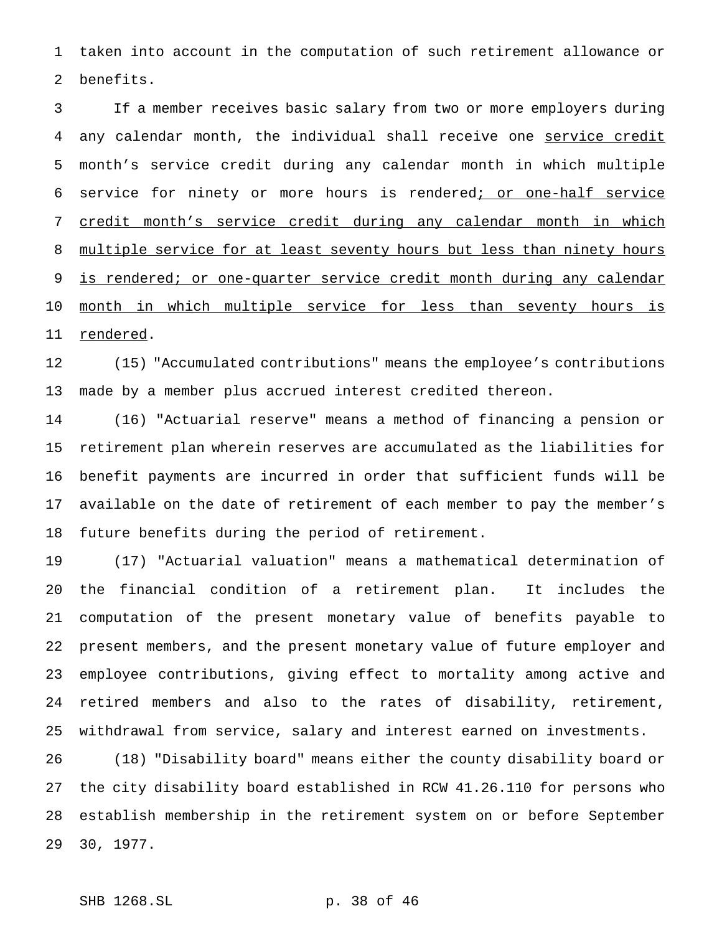taken into account in the computation of such retirement allowance or benefits.

 If a member receives basic salary from two or more employers during any calendar month, the individual shall receive one service credit month's service credit during any calendar month in which multiple 6 service for ninety or more hours is rendered; or one-half service credit month's service credit during any calendar month in which 8 multiple service for at least seventy hours but less than ninety hours 9 is rendered; or one-quarter service credit month during any calendar month in which multiple service for less than seventy hours is 11 rendered.

 (15) "Accumulated contributions" means the employee's contributions made by a member plus accrued interest credited thereon.

 (16) "Actuarial reserve" means a method of financing a pension or retirement plan wherein reserves are accumulated as the liabilities for benefit payments are incurred in order that sufficient funds will be available on the date of retirement of each member to pay the member's future benefits during the period of retirement.

 (17) "Actuarial valuation" means a mathematical determination of the financial condition of a retirement plan. It includes the computation of the present monetary value of benefits payable to present members, and the present monetary value of future employer and employee contributions, giving effect to mortality among active and retired members and also to the rates of disability, retirement, withdrawal from service, salary and interest earned on investments.

 (18) "Disability board" means either the county disability board or the city disability board established in RCW 41.26.110 for persons who establish membership in the retirement system on or before September 30, 1977.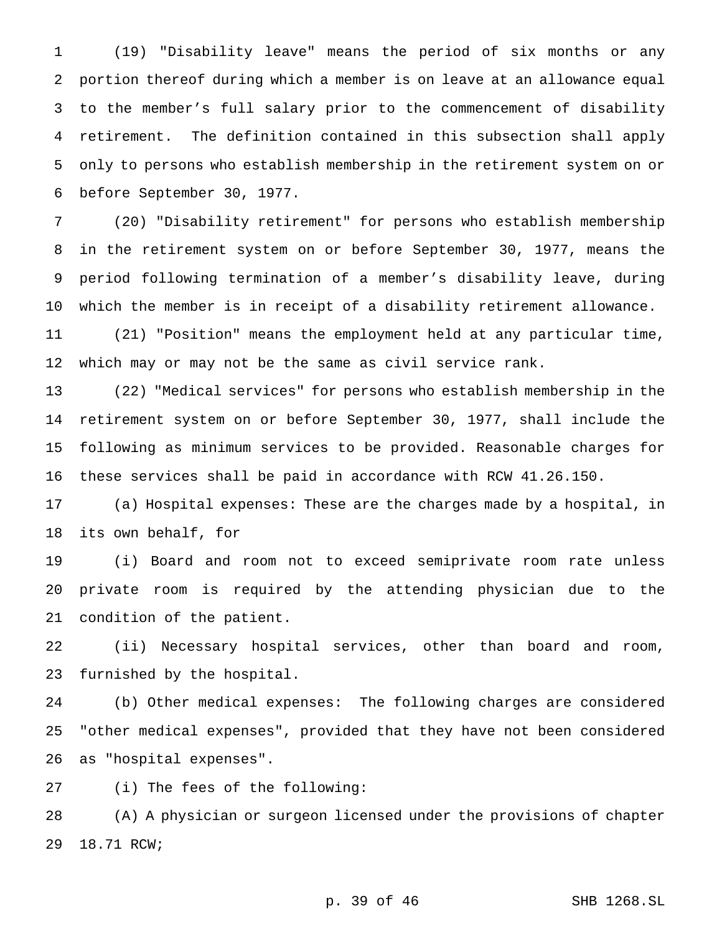(19) "Disability leave" means the period of six months or any portion thereof during which a member is on leave at an allowance equal to the member's full salary prior to the commencement of disability retirement. The definition contained in this subsection shall apply only to persons who establish membership in the retirement system on or before September 30, 1977.

 (20) "Disability retirement" for persons who establish membership in the retirement system on or before September 30, 1977, means the period following termination of a member's disability leave, during which the member is in receipt of a disability retirement allowance. (21) "Position" means the employment held at any particular time,

which may or may not be the same as civil service rank.

 (22) "Medical services" for persons who establish membership in the retirement system on or before September 30, 1977, shall include the following as minimum services to be provided. Reasonable charges for these services shall be paid in accordance with RCW 41.26.150.

 (a) Hospital expenses: These are the charges made by a hospital, in its own behalf, for

 (i) Board and room not to exceed semiprivate room rate unless private room is required by the attending physician due to the condition of the patient.

 (ii) Necessary hospital services, other than board and room, furnished by the hospital.

 (b) Other medical expenses: The following charges are considered "other medical expenses", provided that they have not been considered as "hospital expenses".

(i) The fees of the following:

 (A) A physician or surgeon licensed under the provisions of chapter 18.71 RCW;

p. 39 of 46 SHB 1268.SL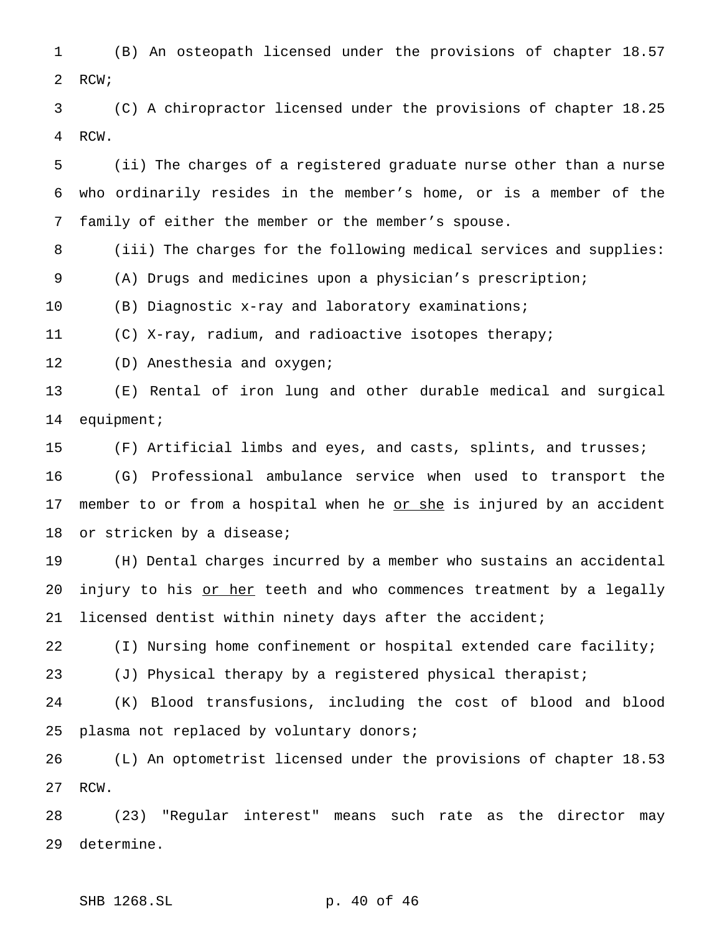(B) An osteopath licensed under the provisions of chapter 18.57 RCW;

 (C) A chiropractor licensed under the provisions of chapter 18.25 RCW.

 (ii) The charges of a registered graduate nurse other than a nurse who ordinarily resides in the member's home, or is a member of the family of either the member or the member's spouse.

8 (iii) The charges for the following medical services and supplies:

(A) Drugs and medicines upon a physician's prescription;

(B) Diagnostic x-ray and laboratory examinations;

(C) X-ray, radium, and radioactive isotopes therapy;

(D) Anesthesia and oxygen;

 (E) Rental of iron lung and other durable medical and surgical equipment;

(F) Artificial limbs and eyes, and casts, splints, and trusses;

 (G) Professional ambulance service when used to transport the 17 member to or from a hospital when he or she is injured by an accident or stricken by a disease;

 (H) Dental charges incurred by a member who sustains an accidental 20 injury to his or her teeth and who commences treatment by a legally licensed dentist within ninety days after the accident;

(I) Nursing home confinement or hospital extended care facility;

(J) Physical therapy by a registered physical therapist;

 (K) Blood transfusions, including the cost of blood and blood plasma not replaced by voluntary donors;

 (L) An optometrist licensed under the provisions of chapter 18.53 RCW.

 (23) "Regular interest" means such rate as the director may determine.

SHB 1268.SL p. 40 of 46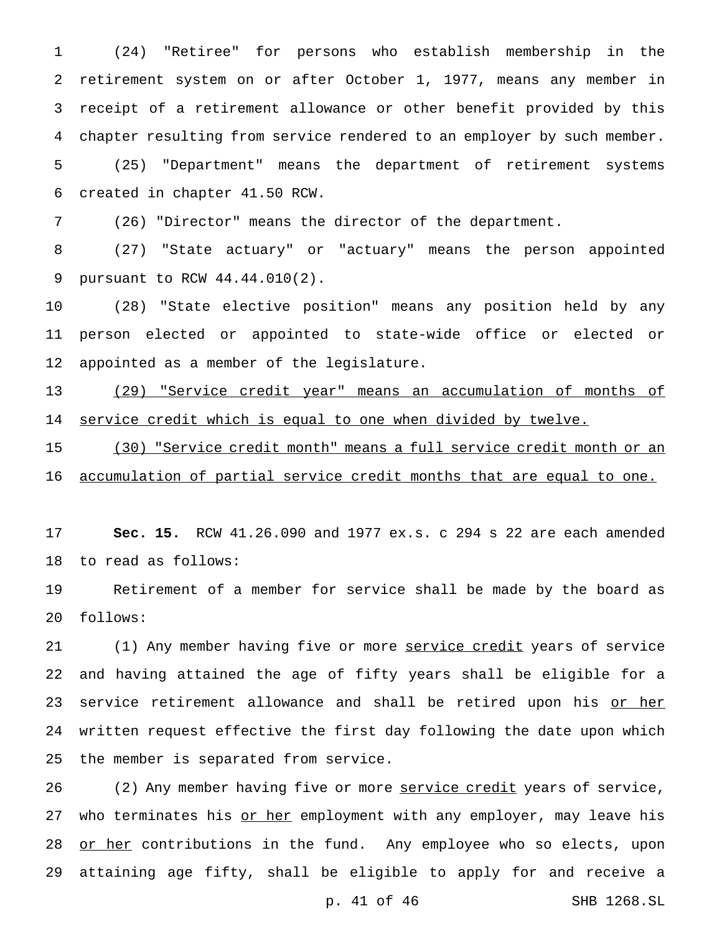(24) "Retiree" for persons who establish membership in the retirement system on or after October 1, 1977, means any member in receipt of a retirement allowance or other benefit provided by this chapter resulting from service rendered to an employer by such member. (25) "Department" means the department of retirement systems created in chapter 41.50 RCW.

(26) "Director" means the director of the department.

 (27) "State actuary" or "actuary" means the person appointed pursuant to RCW 44.44.010(2).

 (28) "State elective position" means any position held by any person elected or appointed to state-wide office or elected or appointed as a member of the legislature.

 (29) "Service credit year" means an accumulation of months of 14 service credit which is equal to one when divided by twelve.

15 (30) "Service credit month" means a full service credit month or an accumulation of partial service credit months that are equal to one.

 **Sec. 15.** RCW 41.26.090 and 1977 ex.s. c 294 s 22 are each amended to read as follows:

 Retirement of a member for service shall be made by the board as follows:

21 (1) Any member having five or more service credit years of service and having attained the age of fifty years shall be eligible for a 23 service retirement allowance and shall be retired upon his or her written request effective the first day following the date upon which the member is separated from service.

26 (2) Any member having five or more service credit years of service, 27 who terminates his or her employment with any employer, may leave his 28 or her contributions in the fund. Any employee who so elects, upon attaining age fifty, shall be eligible to apply for and receive a

p. 41 of 46 SHB 1268.SL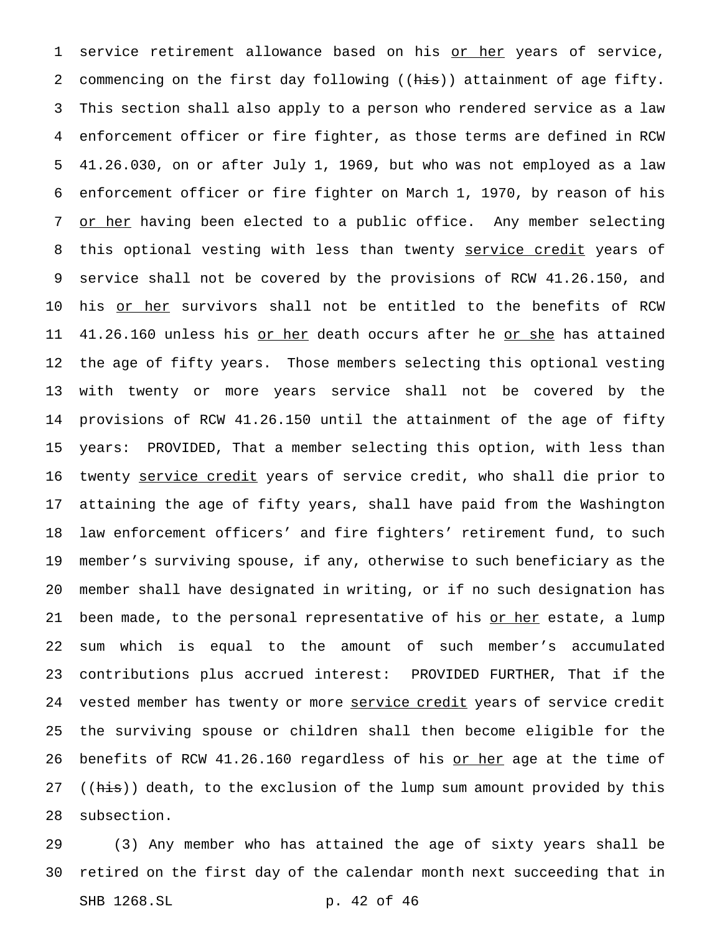1 service retirement allowance based on his or her years of service, 2 commencing on the first day following ((his)) attainment of age fifty. This section shall also apply to a person who rendered service as a law enforcement officer or fire fighter, as those terms are defined in RCW 41.26.030, on or after July 1, 1969, but who was not employed as a law enforcement officer or fire fighter on March 1, 1970, by reason of his 7 or her having been elected to a public office. Any member selecting 8 this optional vesting with less than twenty service credit years of service shall not be covered by the provisions of RCW 41.26.150, and 10 his or her survivors shall not be entitled to the benefits of RCW 11 41.26.160 unless his <u>or her</u> death occurs after he <u>or she</u> has attained the age of fifty years. Those members selecting this optional vesting with twenty or more years service shall not be covered by the provisions of RCW 41.26.150 until the attainment of the age of fifty years: PROVIDED, That a member selecting this option, with less than 16 twenty service credit years of service credit, who shall die prior to attaining the age of fifty years, shall have paid from the Washington law enforcement officers' and fire fighters' retirement fund, to such member's surviving spouse, if any, otherwise to such beneficiary as the member shall have designated in writing, or if no such designation has 21 been made, to the personal representative of his or her estate, a lump sum which is equal to the amount of such member's accumulated contributions plus accrued interest: PROVIDED FURTHER, That if the 24 vested member has twenty or more service credit years of service credit the surviving spouse or children shall then become eligible for the 26 benefits of RCW 41.26.160 regardless of his <u>or her</u> age at the time of 27 ((his)) death, to the exclusion of the lump sum amount provided by this subsection.

 (3) Any member who has attained the age of sixty years shall be retired on the first day of the calendar month next succeeding that in SHB 1268.SL p. 42 of 46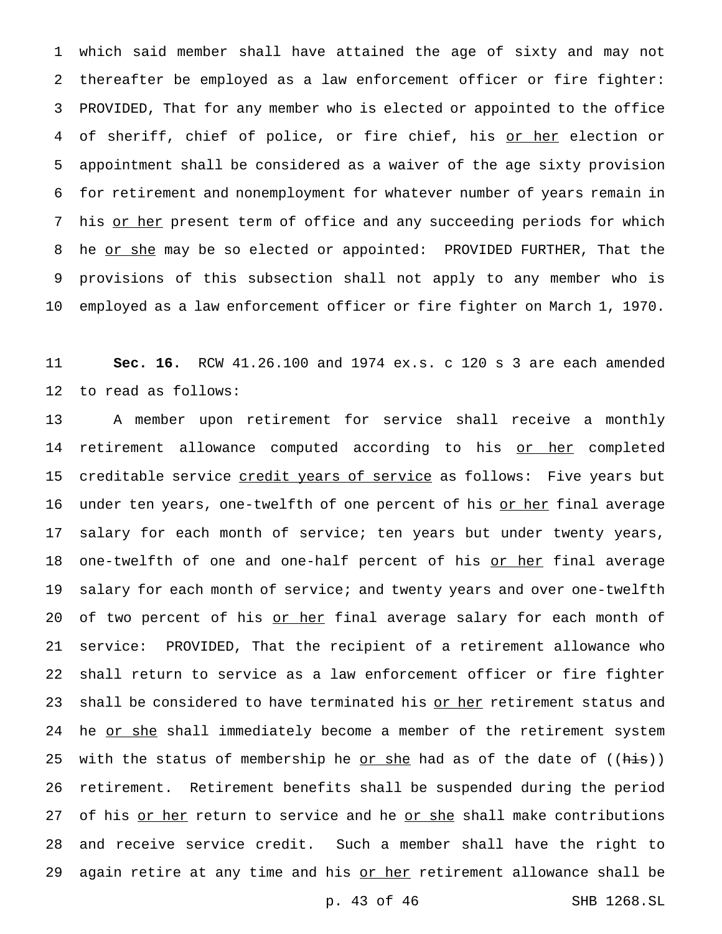which said member shall have attained the age of sixty and may not thereafter be employed as a law enforcement officer or fire fighter: PROVIDED, That for any member who is elected or appointed to the office 4 of sheriff, chief of police, or fire chief, his or her election or appointment shall be considered as a waiver of the age sixty provision for retirement and nonemployment for whatever number of years remain in 7 his or her present term of office and any succeeding periods for which 8 he or she may be so elected or appointed: PROVIDED FURTHER, That the provisions of this subsection shall not apply to any member who is employed as a law enforcement officer or fire fighter on March 1, 1970.

11 **Sec. 16.** RCW 41.26.100 and 1974 ex.s. c 120 s 3 are each amended 12 to read as follows:

13 A member upon retirement for service shall receive a monthly 14 retirement allowance computed according to his or her completed 15 creditable service credit years of service as follows: Five years but 16 under ten years, one-twelfth of one percent of his or her final average 17 salary for each month of service; ten years but under twenty years, 18 one-twelfth of one and one-half percent of his or her final average 19 salary for each month of service; and twenty years and over one-twelfth 20 of two percent of his or her final average salary for each month of 21 service: PROVIDED, That the recipient of a retirement allowance who 22 shall return to service as a law enforcement officer or fire fighter 23 shall be considered to have terminated his or her retirement status and 24 he or she shall immediately become a member of the retirement system 25 with the status of membership he or she had as of the date of ((his)) 26 retirement. Retirement benefits shall be suspended during the period 27 of his or her return to service and he or she shall make contributions 28 and receive service credit. Such a member shall have the right to 29 again retire at any time and his or her retirement allowance shall be

p. 43 of 46 SHB 1268.SL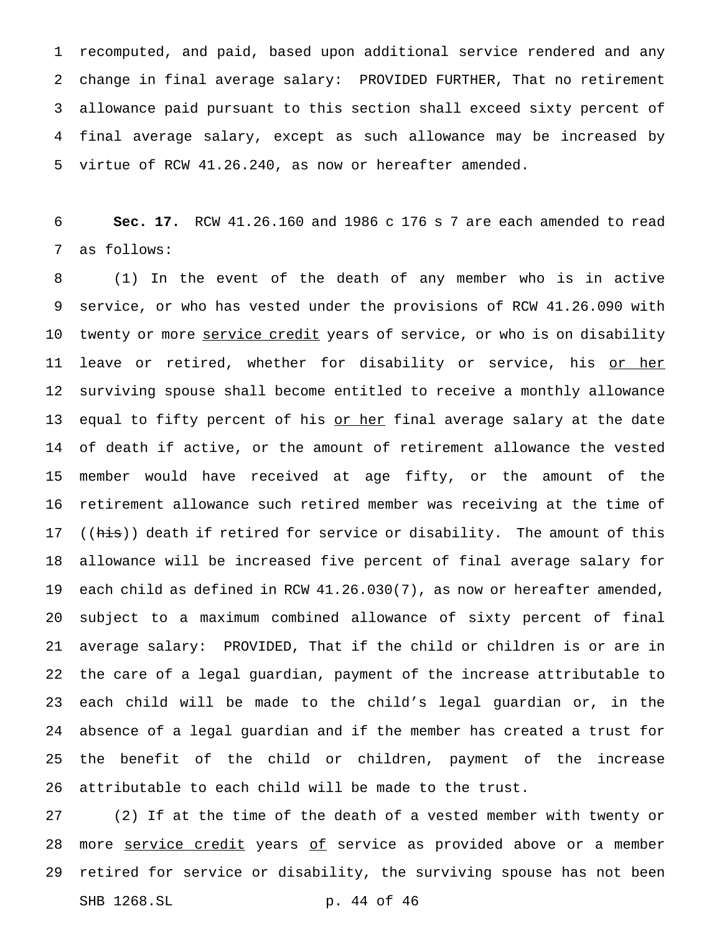recomputed, and paid, based upon additional service rendered and any change in final average salary: PROVIDED FURTHER, That no retirement allowance paid pursuant to this section shall exceed sixty percent of final average salary, except as such allowance may be increased by virtue of RCW 41.26.240, as now or hereafter amended.

 **Sec. 17.** RCW 41.26.160 and 1986 c 176 s 7 are each amended to read as follows:

 (1) In the event of the death of any member who is in active service, or who has vested under the provisions of RCW 41.26.090 with 10 twenty or more service credit years of service, or who is on disability 11 leave or retired, whether for disability or service, his or her surviving spouse shall become entitled to receive a monthly allowance 13 equal to fifty percent of his <u>or her</u> final average salary at the date of death if active, or the amount of retirement allowance the vested member would have received at age fifty, or the amount of the retirement allowance such retired member was receiving at the time of 17 ((his)) death if retired for service or disability. The amount of this allowance will be increased five percent of final average salary for each child as defined in RCW 41.26.030(7), as now or hereafter amended, subject to a maximum combined allowance of sixty percent of final average salary: PROVIDED, That if the child or children is or are in the care of a legal guardian, payment of the increase attributable to each child will be made to the child's legal guardian or, in the absence of a legal guardian and if the member has created a trust for the benefit of the child or children, payment of the increase attributable to each child will be made to the trust.

 (2) If at the time of the death of a vested member with twenty or 28 more service credit years of service as provided above or a member retired for service or disability, the surviving spouse has not been SHB 1268.SL p. 44 of 46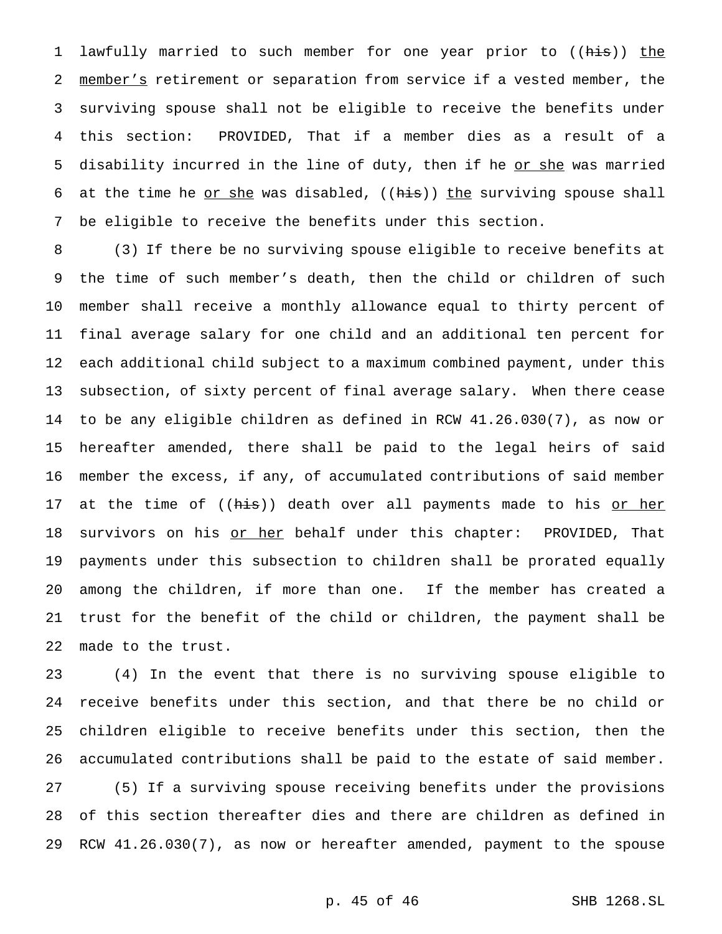1 lawfully married to such member for one year prior to ((his)) the member's retirement or separation from service if a vested member, the surviving spouse shall not be eligible to receive the benefits under this section: PROVIDED, That if a member dies as a result of a 5 disability incurred in the line of duty, then if he <u>or she</u> was married 6 at the time he or she was disabled,  $((his))$  the surviving spouse shall be eligible to receive the benefits under this section.

 (3) If there be no surviving spouse eligible to receive benefits at the time of such member's death, then the child or children of such member shall receive a monthly allowance equal to thirty percent of final average salary for one child and an additional ten percent for each additional child subject to a maximum combined payment, under this subsection, of sixty percent of final average salary. When there cease to be any eligible children as defined in RCW 41.26.030(7), as now or hereafter amended, there shall be paid to the legal heirs of said member the excess, if any, of accumulated contributions of said member 17 at the time of ((his)) death over all payments made to his or her 18 survivors on his or her behalf under this chapter: PROVIDED, That payments under this subsection to children shall be prorated equally among the children, if more than one. If the member has created a trust for the benefit of the child or children, the payment shall be made to the trust.

 (4) In the event that there is no surviving spouse eligible to receive benefits under this section, and that there be no child or children eligible to receive benefits under this section, then the accumulated contributions shall be paid to the estate of said member. (5) If a surviving spouse receiving benefits under the provisions of this section thereafter dies and there are children as defined in RCW 41.26.030(7), as now or hereafter amended, payment to the spouse